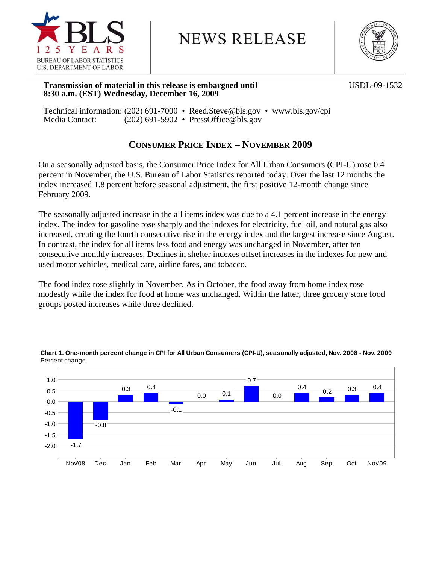

# **NEWS RELEASE**



### **Transmission of material in this release is embargoed until** *USDL-09-1532* **8:30 a.m. (EST) Wednesday, December 16, 2009**

Technical information: (202) 691-7000 • Reed.Steve@bls.gov • www.bls.gov/cpi Media Contact: (202) 691-5902 • PressOffice@bls.gov

## **CONSUMER PRICE INDEX – NOVEMBER 2009**

On a seasonally adjusted basis, the Consumer Price Index for All Urban Consumers (CPI-U) rose 0.4 percent in November, the U.S. Bureau of Labor Statistics reported today. Over the last 12 months the index increased 1.8 percent before seasonal adjustment, the first positive 12-month change since February 2009.

The seasonally adjusted increase in the all items index was due to a 4.1 percent increase in the energy index. The index for gasoline rose sharply and the indexes for electricity, fuel oil, and natural gas also increased, creating the fourth consecutive rise in the energy index and the largest increase since August. In contrast, the index for all items less food and energy was unchanged in November, after ten consecutive monthly increases. Declines in shelter indexes offset increases in the indexes for new and used motor vehicles, medical care, airline fares, and tobacco.

The food index rose slightly in November. As in October, the food away from home index rose modestly while the index for food at home was unchanged. Within the latter, three grocery store food groups posted increases while three declined.



### **Chart 1. One-month percent change in CPI for All Urban Consumers (CPI-U), seasonally adjusted, Nov. 2008 - Nov. 2009** Percent change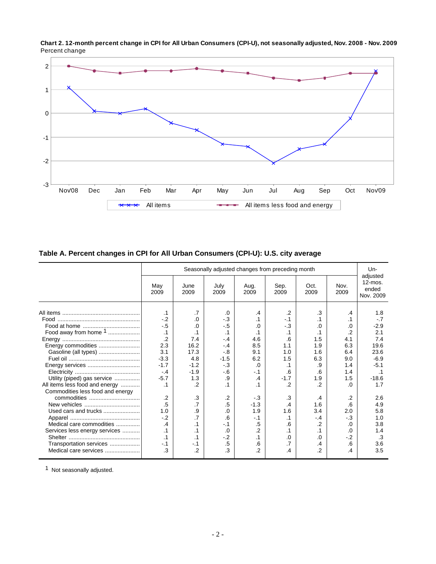

**Chart 2. 12-month percent change in CPI for All Urban Consumers (CPI-U), not seasonally adjusted, Nov. 2008 - Nov. 2009** Percent change

### **Table A. Percent changes in CPI for All Urban Consumers (CPI-U): U.S. city average**

|                                                 |               |                |                | Seasonally adjusted changes from preceding month |                 |                       |                  | $Un-$                                        |
|-------------------------------------------------|---------------|----------------|----------------|--------------------------------------------------|-----------------|-----------------------|------------------|----------------------------------------------|
|                                                 | May<br>2009   | June<br>2009   | July<br>2009   | Aug.<br>2009                                     | Sep.<br>2009    | Oct.<br>2009          | Nov.<br>2009     | adjusted<br>$12$ -mos.<br>ended<br>Nov. 2009 |
|                                                 | .1            | .7             | .0             | .4                                               | $\cdot$         | .3                    | .4               | 1.8                                          |
|                                                 | $-2$<br>$-.5$ | $\Omega$       | $-.3$<br>$-.5$ | $\cdot$ 1                                        | $-1$<br>$-3$    | $\cdot$ 1<br>$\Omega$ | .1               | $-7$                                         |
| Food away from home $1$                         | $\cdot$ 1     | .0             | $\cdot$ 1      | .0<br>.1                                         | .1              | $\cdot$ 1             | .0<br>$\cdot$ .2 | $-2.9$<br>2.1                                |
|                                                 | $\cdot$       | 7.4            | $-4$           | 4.6                                              | 6.6             | 1.5                   | 4.1              | 7.4                                          |
|                                                 | 2.3           | 16.2           | $-4$           | 8.5                                              | 1.1             | 1.9                   | 6.3              | 19.6                                         |
| Gasoline (all types)                            | 3.1           | 17.3           | $-.8$          | 9.1                                              | 1.0             | 1.6                   | 6.4              | 23.6                                         |
|                                                 | $-3.3$        | 4.8            | $-1.5$         | 6.2                                              | 1.5             | 6.3                   | 9.0              | $-6.9$                                       |
| Energy services                                 | $-1.7$        | $-1.2$         | $-.3$          | .0                                               | $\cdot$ 1       | .9                    | 1.4              | $-5.1$                                       |
|                                                 | $-.4$         | $-1.9$         | $-6$           | $-1$                                             | .6              | 6.6                   | 1.4              | .1                                           |
| Utility (piped) gas service                     | $-5.7$        | 1.3            | .9             | $\cdot$                                          | $-1.7$          | 1.9                   | 1.5              | $-18.6$                                      |
| All items less food and energy                  | .1            | $\cdot$        | $\cdot$ 1      |                                                  | $\cdot$         | $\cdot$               | $\Omega$         | 1.7                                          |
| Commodities less food and energy<br>commodities | $\cdot$       | .3             | $\cdot$        | $-3$                                             | .3              | .4                    | $\cdot$          | 2.6                                          |
|                                                 | .5            | $\cdot$ 7      | .5             | $-1.3$                                           | $\overline{.4}$ | 1.6                   | .6               | 4.9                                          |
|                                                 | 1.0           | .9             | .0             | 1.9                                              | 1.6             | 3.4                   | 2.0              | 5.8                                          |
|                                                 | $-2$          |                | .6             | $-1$                                             | $\cdot$ 1       | $-4$                  | $-3$             | 1.0                                          |
| Medical care commodities                        | .4            | .1             | $-.1$          | .5                                               | .6              | $\cdot$               | .0               | 3.8                                          |
| Services less energy services                   | $\cdot$ 1     |                | .0             | $\cdot$                                          | $\cdot$ 1       | $\cdot$ 1             | .0               | 1.4                                          |
|                                                 | .1            | .1             | $-.2$          | .1                                               | .0              | .0                    | $-2$             | .3                                           |
| Transportation services                         | $-.1$         | $-1$           | .5             | .6                                               | .7              | .4                    | .6               | 3.6                                          |
| Medical care services                           | .3            | $\overline{2}$ | .3             | $\cdot$ .2                                       | $\cdot$         | $\overline{2}$        | .4               | 3.5                                          |

1 Not seasonally adjusted.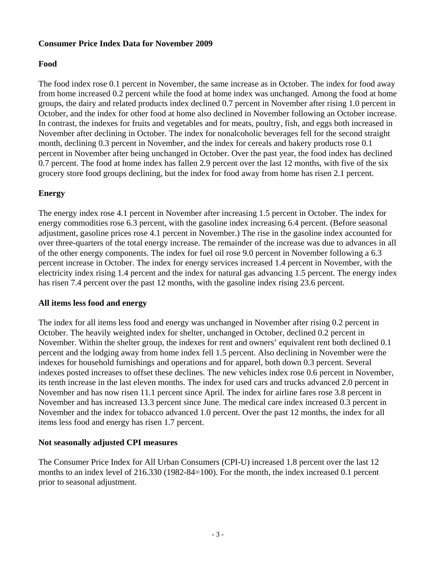### **Consumer Price Index Data for November 2009**

### **Food**

The food index rose 0.1 percent in November, the same increase as in October. The index for food away from home increased 0.2 percent while the food at home index was unchanged. Among the food at home groups, the dairy and related products index declined 0.7 percent in November after rising 1.0 percent in October, and the index for other food at home also declined in November following an October increase. In contrast, the indexes for fruits and vegetables and for meats, poultry, fish, and eggs both increased in November after declining in October. The index for nonalcoholic beverages fell for the second straight month, declining 0.3 percent in November, and the index for cereals and bakery products rose 0.1 percent in November after being unchanged in October. Over the past year, the food index has declined 0.7 percent. The food at home index has fallen 2.9 percent over the last 12 months, with five of the six grocery store food groups declining, but the index for food away from home has risen 2.1 percent.

### **Energy**

The energy index rose 4.1 percent in November after increasing 1.5 percent in October. The index for energy commodities rose 6.3 percent, with the gasoline index increasing 6.4 percent. (Before seasonal adjustment, gasoline prices rose 4.1 percent in November.) The rise in the gasoline index accounted for over three-quarters of the total energy increase. The remainder of the increase was due to advances in all of the other energy components. The index for fuel oil rose 9.0 percent in November following a 6.3 percent increase in October. The index for energy services increased 1.4 percent in November, with the electricity index rising 1.4 percent and the index for natural gas advancing 1.5 percent. The energy index has risen 7.4 percent over the past 12 months, with the gasoline index rising 23.6 percent.

### **All items less food and energy**

The index for all items less food and energy was unchanged in November after rising 0.2 percent in October. The heavily weighted index for shelter, unchanged in October, declined 0.2 percent in November. Within the shelter group, the indexes for rent and owners' equivalent rent both declined 0.1 percent and the lodging away from home index fell 1.5 percent. Also declining in November were the indexes for household furnishings and operations and for apparel, both down 0.3 percent. Several indexes posted increases to offset these declines. The new vehicles index rose 0.6 percent in November, its tenth increase in the last eleven months. The index for used cars and trucks advanced 2.0 percent in November and has now risen 11.1 percent since April. The index for airline fares rose 3.8 percent in November and has increased 13.3 percent since June. The medical care index increased 0.3 percent in November and the index for tobacco advanced 1.0 percent. Over the past 12 months, the index for all items less food and energy has risen 1.7 percent.

### **Not seasonally adjusted CPI measures**

The Consumer Price Index for All Urban Consumers (CPI-U) increased 1.8 percent over the last 12 months to an index level of 216.330 (1982-84=100). For the month, the index increased 0.1 percent prior to seasonal adjustment.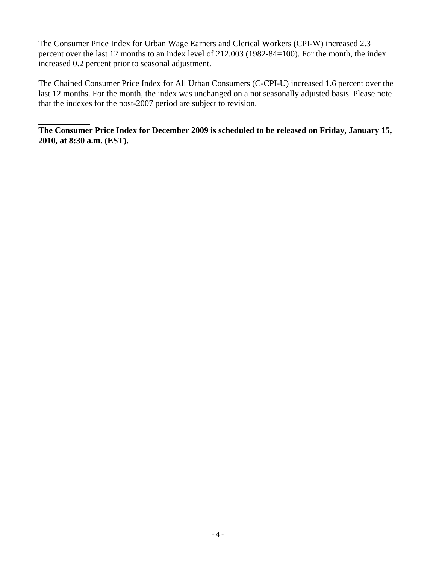The Consumer Price Index for Urban Wage Earners and Clerical Workers (CPI-W) increased 2.3 percent over the last 12 months to an index level of 212.003 (1982-84=100). For the month, the index increased 0.2 percent prior to seasonal adjustment.

The Chained Consumer Price Index for All Urban Consumers (C-CPI-U) increased 1.6 percent over the last 12 months. For the month, the index was unchanged on a not seasonally adjusted basis. Please note that the indexes for the post-2007 period are subject to revision.

**The Consumer Price Index for December 2009 is scheduled to be released on Friday, January 15, 2010, at 8:30 a.m. (EST).**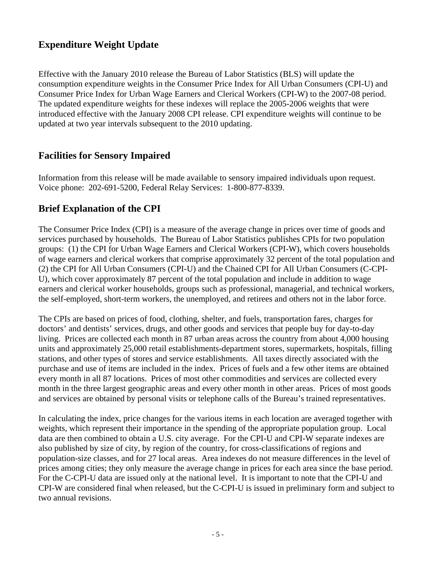# **Expenditure Weight Update**

Effective with the January 2010 release the Bureau of Labor Statistics (BLS) will update the consumption expenditure weights in the Consumer Price Index for All Urban Consumers (CPI-U) and Consumer Price Index for Urban Wage Earners and Clerical Workers (CPI-W) to the 2007-08 period. The updated expenditure weights for these indexes will replace the 2005-2006 weights that were introduced effective with the January 2008 CPI release. CPI expenditure weights will continue to be updated at two year intervals subsequent to the 2010 updating.

# **Facilities for Sensory Impaired**

Information from this release will be made available to sensory impaired individuals upon request. Voice phone: 202-691-5200, Federal Relay Services: 1-800-877-8339.

# **Brief Explanation of the CPI**

The Consumer Price Index (CPI) is a measure of the average change in prices over time of goods and services purchased by households. The Bureau of Labor Statistics publishes CPIs for two population groups: (1) the CPI for Urban Wage Earners and Clerical Workers (CPI-W), which covers households of wage earners and clerical workers that comprise approximately 32 percent of the total population and (2) the CPI for All Urban Consumers (CPI-U) and the Chained CPI for All Urban Consumers (C-CPI-U), which cover approximately 87 percent of the total population and include in addition to wage earners and clerical worker households, groups such as professional, managerial, and technical workers, the self-employed, short-term workers, the unemployed, and retirees and others not in the labor force.

The CPIs are based on prices of food, clothing, shelter, and fuels, transportation fares, charges for doctors' and dentists' services, drugs, and other goods and services that people buy for day-to-day living. Prices are collected each month in 87 urban areas across the country from about 4,000 housing units and approximately 25,000 retail establishments-department stores, supermarkets, hospitals, filling stations, and other types of stores and service establishments. All taxes directly associated with the purchase and use of items are included in the index. Prices of fuels and a few other items are obtained every month in all 87 locations. Prices of most other commodities and services are collected every month in the three largest geographic areas and every other month in other areas. Prices of most goods and services are obtained by personal visits or telephone calls of the Bureau's trained representatives.

In calculating the index, price changes for the various items in each location are averaged together with weights, which represent their importance in the spending of the appropriate population group. Local data are then combined to obtain a U.S. city average. For the CPI-U and CPI-W separate indexes are also published by size of city, by region of the country, for cross-classifications of regions and population-size classes, and for 27 local areas. Area indexes do not measure differences in the level of prices among cities; they only measure the average change in prices for each area since the base period. For the C-CPI-U data are issued only at the national level. It is important to note that the CPI-U and CPI-W are considered final when released, but the C-CPI-U is issued in preliminary form and subject to two annual revisions.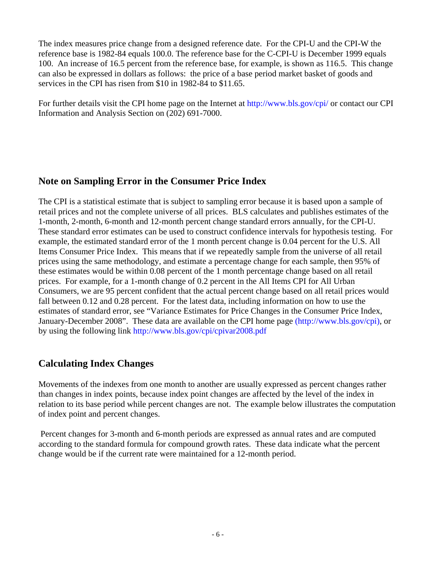The index measures price change from a designed reference date. For the CPI-U and the CPI-W the reference base is 1982-84 equals 100.0. The reference base for the C-CPI-U is December 1999 equals 100. An increase of 16.5 percent from the reference base, for example, is shown as 116.5. This change can also be expressed in dollars as follows: the price of a base period market basket of goods and services in the CPI has risen from \$10 in 1982-84 to \$11.65.

For further details visit the CPI home page on the Internet at http://www.bls.gov/cpi/ or contact our CPI Information and Analysis Section on (202) 691-7000.

# **Note on Sampling Error in the Consumer Price Index**

The CPI is a statistical estimate that is subject to sampling error because it is based upon a sample of retail prices and not the complete universe of all prices. BLS calculates and publishes estimates of the 1-month, 2-month, 6-month and 12-month percent change standard errors annually, for the CPI-U. These standard error estimates can be used to construct confidence intervals for hypothesis testing. For example, the estimated standard error of the 1 month percent change is 0.04 percent for the U.S. All Items Consumer Price Index. This means that if we repeatedly sample from the universe of all retail prices using the same methodology, and estimate a percentage change for each sample, then 95% of these estimates would be within 0.08 percent of the 1 month percentage change based on all retail prices. For example, for a 1-month change of 0.2 percent in the All Items CPI for All Urban Consumers, we are 95 percent confident that the actual percent change based on all retail prices would fall between 0.12 and 0.28 percent. For the latest data, including information on how to use the estimates of standard error, see "Variance Estimates for Price Changes in the Consumer Price Index, January-December 2008". These data are available on the CPI home page (http://www.bls.gov/cpi), or by using the following link http://www.bls.gov/cpi/cpivar2008.pdf

# **Calculating Index Changes**

Movements of the indexes from one month to another are usually expressed as percent changes rather than changes in index points, because index point changes are affected by the level of the index in relation to its base period while percent changes are not. The example below illustrates the computation of index point and percent changes.

 Percent changes for 3-month and 6-month periods are expressed as annual rates and are computed according to the standard formula for compound growth rates. These data indicate what the percent change would be if the current rate were maintained for a 12-month period.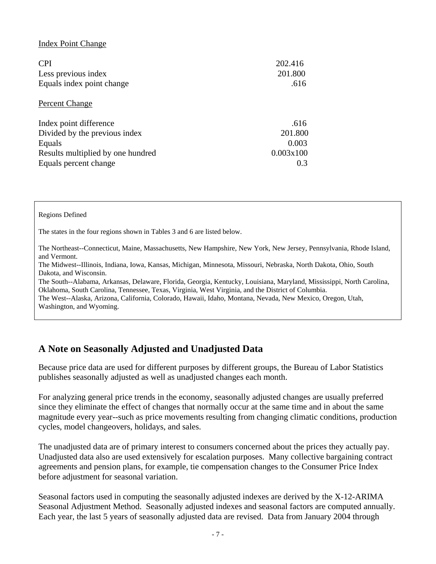### Index Point Change

| <b>CPI</b><br>Less previous index<br>Equals index point change | 202.416<br>201.800<br>.616 |
|----------------------------------------------------------------|----------------------------|
| Percent Change                                                 |                            |
| Index point difference                                         | .616                       |
| Divided by the previous index                                  | 201.800                    |
| Equals                                                         | 0.003                      |
| Results multiplied by one hundred                              | 0.003x100                  |
| Equals percent change                                          | 0.3                        |

### Regions Defined

The states in the four regions shown in Tables 3 and 6 are listed below.

The Northeast--Connecticut, Maine, Massachusetts, New Hampshire, New York, New Jersey, Pennsylvania, Rhode Island, and Vermont.

The Midwest--Illinois, Indiana, Iowa, Kansas, Michigan, Minnesota, Missouri, Nebraska, North Dakota, Ohio, South Dakota, and Wisconsin.

The South--Alabama, Arkansas, Delaware, Florida, Georgia, Kentucky, Louisiana, Maryland, Mississippi, North Carolina, Oklahoma, South Carolina, Tennessee, Texas, Virginia, West Virginia, and the District of Columbia.

The West--Alaska, Arizona, California, Colorado, Hawaii, Idaho, Montana, Nevada, New Mexico, Oregon, Utah, Washington, and Wyoming.

# **A Note on Seasonally Adjusted and Unadjusted Data**

Because price data are used for different purposes by different groups, the Bureau of Labor Statistics publishes seasonally adjusted as well as unadjusted changes each month.

For analyzing general price trends in the economy, seasonally adjusted changes are usually preferred since they eliminate the effect of changes that normally occur at the same time and in about the same magnitude every year--such as price movements resulting from changing climatic conditions, production cycles, model changeovers, holidays, and sales.

The unadjusted data are of primary interest to consumers concerned about the prices they actually pay. Unadjusted data also are used extensively for escalation purposes. Many collective bargaining contract agreements and pension plans, for example, tie compensation changes to the Consumer Price Index before adjustment for seasonal variation.

Seasonal factors used in computing the seasonally adjusted indexes are derived by the X-12-ARIMA Seasonal Adjustment Method. Seasonally adjusted indexes and seasonal factors are computed annually. Each year, the last 5 years of seasonally adjusted data are revised. Data from January 2004 through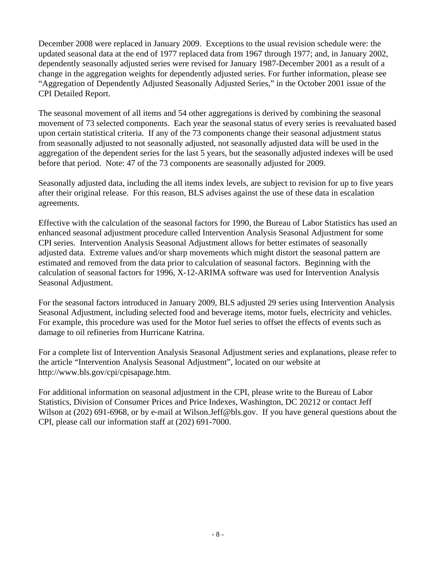December 2008 were replaced in January 2009. Exceptions to the usual revision schedule were: the updated seasonal data at the end of 1977 replaced data from 1967 through 1977; and, in January 2002, dependently seasonally adjusted series were revised for January 1987-December 2001 as a result of a change in the aggregation weights for dependently adjusted series. For further information, please see "Aggregation of Dependently Adjusted Seasonally Adjusted Series," in the October 2001 issue of the CPI Detailed Report.

The seasonal movement of all items and 54 other aggregations is derived by combining the seasonal movement of 73 selected components. Each year the seasonal status of every series is reevaluated based upon certain statistical criteria. If any of the 73 components change their seasonal adjustment status from seasonally adjusted to not seasonally adjusted, not seasonally adjusted data will be used in the aggregation of the dependent series for the last 5 years, but the seasonally adjusted indexes will be used before that period. Note: 47 of the 73 components are seasonally adjusted for 2009.

Seasonally adjusted data, including the all items index levels, are subject to revision for up to five years after their original release. For this reason, BLS advises against the use of these data in escalation agreements.

Effective with the calculation of the seasonal factors for 1990, the Bureau of Labor Statistics has used an enhanced seasonal adjustment procedure called Intervention Analysis Seasonal Adjustment for some CPI series. Intervention Analysis Seasonal Adjustment allows for better estimates of seasonally adjusted data. Extreme values and/or sharp movements which might distort the seasonal pattern are estimated and removed from the data prior to calculation of seasonal factors. Beginning with the calculation of seasonal factors for 1996, X-12-ARIMA software was used for Intervention Analysis Seasonal Adjustment.

For the seasonal factors introduced in January 2009, BLS adjusted 29 series using Intervention Analysis Seasonal Adjustment, including selected food and beverage items, motor fuels, electricity and vehicles. For example, this procedure was used for the Motor fuel series to offset the effects of events such as damage to oil refineries from Hurricane Katrina.

For a complete list of Intervention Analysis Seasonal Adjustment series and explanations, please refer to the article "Intervention Analysis Seasonal Adjustment", located on our website at http://www.bls.gov/cpi/cpisapage.htm.

For additional information on seasonal adjustment in the CPI, please write to the Bureau of Labor Statistics, Division of Consumer Prices and Price Indexes, Washington, DC 20212 or contact Jeff Wilson at (202) 691-6968, or by e-mail at Wilson.Jeff@bls.gov. If you have general questions about the CPI, please call our information staff at (202) 691-7000.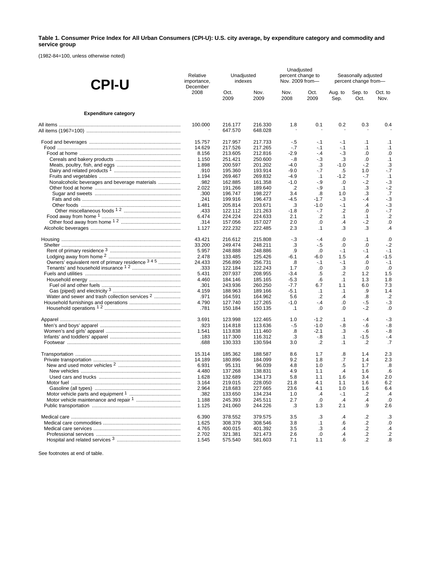#### **Table 1. Consumer Price Index for All Urban Consumers (CPI-U): U.S. city average, by expenditure category and commodity and service group**

(1982-84=100, unless otherwise noted)

| <b>CPI-U</b>                                               | Relative<br>importance, | Unadjusted<br>indexes<br>December |                    |                     | Unadjusted<br>percent change to<br>Nov. 2009 from- | Seasonally adjusted<br>percent change from- |                 |                  |  |
|------------------------------------------------------------|-------------------------|-----------------------------------|--------------------|---------------------|----------------------------------------------------|---------------------------------------------|-----------------|------------------|--|
|                                                            | 2008                    | Oct.<br>2009                      | Nov.<br>2009       | Nov.<br>2008        | Oct.<br>2009                                       | Aug. to<br>Sep.                             | Sep. to<br>Oct. | Oct. to<br>Nov.  |  |
| <b>Expenditure category</b>                                |                         |                                   |                    |                     |                                                    |                                             |                 |                  |  |
|                                                            | 100.000                 | 216.177<br>647.570                | 216.330<br>648.028 | 1.8                 | 0.1                                                | 0.2                                         | 0.3             | 0.4              |  |
|                                                            | 15.757                  | 217.957                           | 217.733            | $-.5$               | $-.1$                                              | -.1                                         | $\cdot$ 1       | $\cdot$ 1        |  |
|                                                            | 14.629                  | 217.526                           | 217.265            | $-.7$               | $-1$                                               | $-.1$                                       | $\cdot$ 1       | $\cdot$ 1        |  |
|                                                            | 8.156                   | 213.605                           | 212.816            | $-2.9$              | $-4$                                               | $-3$                                        | .0              | .0               |  |
|                                                            | 1.150                   | 251.421                           | 250.600            | -.8                 | $-3$                                               | .3                                          | $\cdot 0$       | .1               |  |
|                                                            | 1.898                   | 200.597                           | 201.202            | $-4.0$              | .3                                                 | $-1.0$                                      | $-2$            | .3               |  |
|                                                            | .910                    | 195.360                           | 193.914            | $-9.0$              | $-7$                                               | .5                                          | 1.0             | $-7$             |  |
|                                                            | 1.194                   | 269.467                           | 269.832            | -4.9                | $\cdot$ 1                                          | $-1.2$                                      | $-7$            | $\cdot$ 1        |  |
| Nonalcoholic beverages and beverage materials              | .982                    | 162.885                           | 161.358            | $-1.0$              | $-9$                                               | .0                                          | $-2$            | $-.3$            |  |
|                                                            | 2.022                   | 191.266                           | 189.640            | $\cdot$             | $-9$                                               | .1                                          | .3              | $-2$             |  |
|                                                            | .300                    | 196.747                           | 198.227            | 3.4                 | $\boldsymbol{.8}$                                  | 1.0                                         | .3              | .7               |  |
|                                                            | .241                    | 199.916                           | 196.473            | $-4.5$              | $-1.7$                                             | $-3$                                        | - 4             | $-3$             |  |
|                                                            | 1.481                   | 205.814                           | 203.671            | .3                  | $-1.0$                                             | $-1$                                        | $\cdot$         | $-.3$            |  |
|                                                            | .433                    | 122.112                           | 121.263            | -1.8                | $-7$                                               | $\cdot$                                     | .0              | $-.7$            |  |
|                                                            | 6.474                   | 224.224                           | 224.633            | 2.1                 | $\cdot$                                            | $\cdot$ 1                                   | $\cdot$ 1       | $\cdot$          |  |
|                                                            | .314                    | 157.056                           | 157.027            | 2.0                 | 0.                                                 | $\cdot$                                     | $-2$            | .0               |  |
|                                                            | 1.127                   | 222.232                           | 222.485            | 2.3                 | $\cdot$ 1                                          | .3                                          | .3              | .4               |  |
|                                                            | 43.421                  | 216.612                           | 215.808            | - 3                 | $-4$                                               | .0                                          | $\cdot$ 1       | .0               |  |
|                                                            | 33.200                  | 249.474                           | 248.211            | .3                  | $-5$                                               | .0                                          | .0              | $-2$             |  |
|                                                            | 5.957                   | 248.888                           | 248.886            | .9                  | .0                                                 | $-1$                                        | $-1$            | $-.1$            |  |
|                                                            | 2.478                   | 133.485                           | 125.426            | -6.1                | -6.0                                               | 1.5                                         | $\cdot$         | $-1.5$           |  |
| Owners' equivalent rent of primary residence 3 4 5         | 24.433                  | 256.890                           | 256.731            | .8                  | $-1$                                               | $-.1$                                       | $\cdot 0$       | $-.1$            |  |
|                                                            | .333                    | 122.184                           | 122.243            | 1.7                 | .0                                                 | .3                                          | .0              | .0               |  |
|                                                            | 5.431                   | 207.937                           | 208.955            | $-3.4$              | .5                                                 | $\cdot$                                     | 1.2             | 1.5              |  |
|                                                            | 4.460                   | 184.146                           | 185.165            | $-5.3$              | .6                                                 | .1                                          | 1.3             | 1.8              |  |
|                                                            | .301                    | 243.936                           | 260.250            | $-7.7$              | 6.7                                                | 1.1                                         | 6.0             | 7.3              |  |
|                                                            | 4.159                   | 188.963                           | 189.166            | $-5.1$              | $\cdot$ 1                                          | $\cdot$ 1                                   | .9              | 1.4              |  |
| Water and sewer and trash collection services <sup>2</sup> | .971                    | 164.591                           | 164.962            | 5.6                 | $\cdot$                                            | $\overline{A}$                              | .8              | $\cdot$          |  |
|                                                            | 4.790<br>.781           | 127.740<br>150.184                | 127.265<br>150.135 | $-1.0$<br>$\cdot$ 1 | $-.4$<br>$\cdot$                                   | .0<br>.0                                    | $-5$<br>$-2$    | $-.3$<br>$\cdot$ |  |
|                                                            |                         |                                   |                    |                     | $-1.2$                                             |                                             |                 |                  |  |
|                                                            | 3.691<br>.923           | 123.998                           | 122.465            | 1.0                 | $-1.0$                                             | $\cdot$ 1<br>-.8                            | $-4$<br>$-6$    | $-.3$            |  |
|                                                            | 1.541                   | 114.818<br>113.838                | 113.636<br>111.460 | $-5$<br>.8          | $-2.1$                                             | .3                                          | $-6$            | $-8$<br>- 8      |  |
|                                                            |                         | 117.300                           | 116.312            |                     | -.8                                                |                                             | $-1.5$          | $-4$             |  |
|                                                            | .183<br>.688            | 130.333                           | 130.594            | .3<br>3.0           | .2                                                 | $\cdot$ 1<br>$\cdot$ 1                      | .2              | .7               |  |
|                                                            | 15.314                  | 185.362                           | 188.587            | 8.6                 | 1.7                                                | .8                                          | 1.4             | 2.3              |  |
|                                                            | 14.189                  | 180.896                           | 184.099            | 9.2                 | 1.8                                                | .7                                          | 1.4             | 2.3              |  |
|                                                            | 6.931                   | 95.131                            | 96.039             | 4.8                 | 1.0                                                | .5                                          | 1.7             | .8               |  |
|                                                            | 4.480                   | 137.268                           | 138.831            | 4.9                 | 1.1                                                | .4                                          | 1.6             | .6               |  |
|                                                            | 1.628                   | 132.689                           | 134.173            | 5.8                 | 1.1                                                | 1.6                                         | 3.4             | 2.0              |  |
|                                                            | 3.164                   | 219.015                           | 228.050            | 21.8                | 4.1                                                | 1.1                                         | 1.6             | 6.2              |  |
|                                                            | 2.964                   | 218.683                           | 227.665            | 23.6                | 4.1                                                | 1.0                                         | 1.6             | 6.4              |  |
|                                                            | .382                    | 133.650                           | 134.234            | 1.0                 | $\cdot$                                            | $-1$                                        | .2              | $\cdot$          |  |
|                                                            | 1.188                   | 245.393                           | 245.511            | 2.7                 | .0                                                 | $\cdot$                                     | .4              | .0               |  |
|                                                            | 1.125                   | 241.060                           | 244.226            | .3                  | 1.3                                                | 2.1                                         | .9              | 2.6              |  |
|                                                            | 6.390                   | 378.552                           | 379.575            | 3.5                 | .3                                                 | .4                                          | $\cdot$         | .3               |  |
|                                                            | 1.625                   | 308.379                           | 308.546            | 3.8                 | $\cdot$ 1                                          | .6                                          | .2              | $\cdot$          |  |
|                                                            | 4.765                   | 400.015                           | 401.392            | 3.5                 | .3                                                 | $\cdot$                                     | .2              | $\cdot$          |  |
|                                                            | 2.702                   | 321.381                           | 321.473            | 2.6                 | .0                                                 | $\cdot$                                     | .2              | $\cdot$          |  |
|                                                            | 1.545                   | 575.540                           | 581.603            | 7.1                 | 1.1                                                | .6                                          | .2              | .8               |  |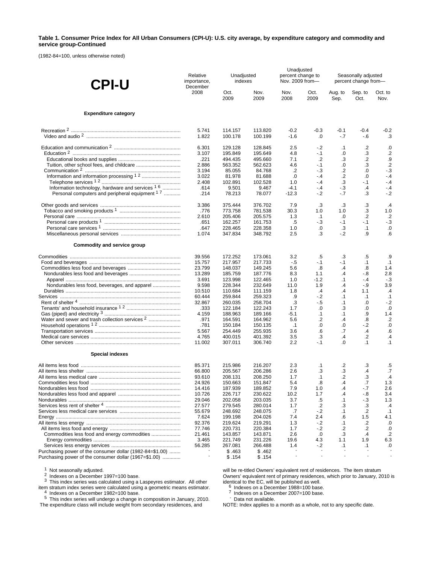#### **Table 1. Consumer Price Index for All Urban Consumers (CPI-U): U.S. city average, by expenditure category and commodity and service group-Continued**

(1982-84=100, unless otherwise noted)

| <b>CPI-U</b>                                                | Unadjusted<br>Relative<br>indexes<br>importance,<br>December |                    | Unadjusted<br>percent change to<br>Nov. 2009 from- |              | Seasonally adjusted<br>percent change from- |                      |                  |                      |
|-------------------------------------------------------------|--------------------------------------------------------------|--------------------|----------------------------------------------------|--------------|---------------------------------------------|----------------------|------------------|----------------------|
|                                                             | 2008                                                         | Oct.<br>2009       | Nov.<br>2009                                       | Nov.<br>2008 | Oct.<br>2009                                | Aug. to<br>Sep.      | Sep. to<br>Oct.  | Oct. to<br>Nov.      |
| <b>Expenditure category</b>                                 |                                                              |                    |                                                    |              |                                             |                      |                  |                      |
|                                                             | 5.741                                                        | 114.157            | 113.820                                            | $-0.2$       | $-0.3$                                      | $-0.1$               | $-0.4$           | $-0.2$               |
|                                                             | 1.822                                                        | 100.178            | 100.199                                            | $-1.6$       | .0                                          | $-7$                 | - 6              | .3                   |
|                                                             | 6.301<br>3.107                                               | 129.128<br>195.849 | 128.845<br>195.649                                 | 2.5<br>4.8   | $-2$<br>$-1$                                | $\cdot$ 1<br>.0      | .2<br>.3         | $\cdot 0$<br>$\cdot$ |
|                                                             | .221                                                         | 494.435            | 495.660                                            | 7.1          | $.2\phantom{0}$                             | .3                   | .2               | .9                   |
|                                                             | 2.886                                                        | 563.352            | 562.623                                            | 4.6          | -.1                                         | .0                   | .3               | $\cdot$              |
|                                                             | 3.194                                                        | 85.055             | 84.768                                             | .2           | $-.3$                                       | $\cdot$              | .0               | $-.3$                |
|                                                             | 3.022                                                        | 81.978             | 81.688                                             | .0           | $-4$                                        | .2                   | .0               | $-4$                 |
|                                                             | 2.408                                                        | 102.891            | 102.528                                            | 1.0          | $-4$                                        | .3                   | $-1$             | $-4$                 |
| Information technology, hardware and services <sup>16</sup> | .614                                                         | 9.501              | 9.467                                              | $-4.1$       | $-4$                                        | $-3$                 | $\cdot$          | - 4                  |
| Personal computers and peripheral equipment <sup>17</sup>   | .214                                                         | 78.213             | 78.077                                             | $-12.3$      | $-2$                                        | $-7$                 | .3               | $-.2$                |
|                                                             | 3.386                                                        | 375.444            | 376.702                                            | 7.9          | .3                                          | .3                   | .3               | $\cdot$              |
|                                                             | .776                                                         | 773.758            | 781.538                                            | 30.3         | 1.0                                         | 1.0                  | .3               | 1.0                  |
|                                                             | 2.610                                                        | 205.406            | 205.575                                            | 1.3          | $\cdot$ 1                                   | .0                   | $\cdot$          | $\cdot$              |
|                                                             | .651                                                         | 162.257            | 161.753                                            | .5           | $-3$                                        | $-1$                 | $-.1$            | $-.3$                |
|                                                             | .647                                                         | 228.465            | 228.358                                            | 1.0          | .0                                          | .3                   | $\cdot$ 1        | .0                   |
|                                                             | 1.074                                                        | 347.834            | 348.792                                            | 2.5          | .3                                          | $-2$                 | .9               | $6^{\circ}$          |
| Commodity and service group                                 |                                                              |                    |                                                    |              |                                             |                      |                  |                      |
|                                                             | 39.556                                                       | 172.252            | 173.061                                            | 3.2          | .5                                          | .3                   | .5               | .9                   |
|                                                             | 15.757                                                       | 217.957            | 217.733                                            | $-5$         | $-1$                                        | $-.1$                | $\cdot$ 1        | .1                   |
|                                                             | 23.799                                                       | 148.037            | 149.245                                            | 5.6          | .8                                          | $\cdot$              | .8               | 1.4                  |
|                                                             | 13.289                                                       | 185.759            | 187.776                                            | 8.3          | 1.1                                         | $\cdot$              | $-8$             | 2.8                  |
|                                                             | 3.691                                                        | 123.998            | 122.465                                            | 1.0          | $-1.2$                                      | .1                   | $-.4$            | $-3$                 |
|                                                             | 9.598                                                        | 228.344            | 232.649                                            | 11.0         | 1.9                                         | .4                   | $-9$             | 3.9                  |
|                                                             | 10.510<br>60.444                                             | 110.684<br>259.844 | 111.159<br>259.323                                 | 1.8<br>.9    | $\cdot$<br>$-2$                             | $\cdot$<br>$\cdot$ 1 | 1.1<br>$\cdot$ 1 | $\cdot$<br>.1        |
|                                                             | 32.867                                                       | 260.035            | 258.704                                            | .3           | - 5                                         | $\cdot$ 1            | .0               | $-2$                 |
|                                                             | .333                                                         | 122.184            | 122.243                                            | 1.7          | .0                                          | .3                   | 0.               | $\cdot$              |
|                                                             | 4.159                                                        | 188.963            | 189.166                                            | $-5.1$       | .1                                          | $\cdot$ 1            | .9               | 1.4                  |
| Water and sewer and trash collection services <sup>2</sup>  | .971                                                         | 164.591            | 164.962                                            | 5.6          | .2                                          | $\cdot$              | .8               | $\cdot$              |
|                                                             | .781                                                         | 150.184            | 150.135                                            | $\cdot$ 1    | .0                                          | .0                   | $-2$             | $\cdot$              |
|                                                             | 5.567                                                        | 254.449            | 255.935                                            | 3.6          | .6                                          | .7                   | $\cdot$          | .6                   |
|                                                             | 4.765                                                        | 400.015            | 401.392                                            | 3.5          | .3                                          | $\cdot$              | $\cdot$          | $\cdot$              |
|                                                             | 11.002                                                       | 307.011            | 306.740                                            | 2.2          | -.1                                         | .0                   | $\cdot$ 1        | $\cdot$ 1            |
| <b>Special indexes</b>                                      |                                                              |                    |                                                    |              |                                             |                      |                  |                      |
|                                                             | 85.371                                                       | 215.986            | 216.207                                            | 2.3          | $\cdot$ 1                                   | $\cdot$              | .3               | .5                   |
|                                                             | 66.800                                                       | 205.567            | 206.286                                            | 2.6          | .3                                          | .3                   | .4               | .7                   |
|                                                             | 93.610                                                       | 208.131            | 208.250                                            | 1.7          | $\cdot$ 1                                   | .2                   | .3               | $\cdot$ 4            |
|                                                             | 24.926                                                       | 150.663            | 151.847                                            | 5.4          | .8                                          | .4                   | .7               | 1.3                  |
|                                                             | 14.416                                                       | 187.939            | 189.852                                            | 7.9          | 1.0                                         | $\cdot$              | $-7$             | 2.6                  |
|                                                             | 10.726                                                       | 226.717            | 230.622                                            | 10.2         | 1.7                                         | $\cdot$              | $-8$             | 3.4                  |
|                                                             | 29.046                                                       | 202.058            | 203.035                                            | 3.7          | $.5\,$                                      | $\cdot$ 1            | $-3$             | 1.3                  |
|                                                             | 27.577                                                       | 279.545            | 280.014                                            | 1.7          | .2                                          | .3                   | .3               | $\cdot$              |
|                                                             | 55.679<br>7.624                                              | 248.692            | 248.075                                            | .7           | $-2$                                        | $\cdot$ 1            | .2               | $\cdot$ 1<br>4.1     |
|                                                             |                                                              | 199.198<br>219.624 | 204.026                                            | 7.4          | 2.4                                         | .6                   | 1.5              | .0                   |
|                                                             | 92.376<br>77.746                                             | 220.731            | 219.291<br>220.384                                 | 1.3<br>1.7   | $-2$<br>$-.2$                               | .1<br>$\cdot$        | .2<br>.2         | .0                   |
|                                                             | 21.461                                                       | 143.857            | 143.871                                            | 2.6          | .0                                          | .3                   | $\cdot$          | $\cdot$              |
|                                                             | 3.465                                                        | 221.749            | 231.226                                            | 19.6         | 4.3                                         | 1.1                  | 1.9              | 6.3                  |
|                                                             | 56.285                                                       | 267.081            | 266.488                                            | 1.4          | $-.2$                                       | $\cdot$ 1            | $\cdot$ 1        | .0                   |
| Purchasing power of the consumer dollar (1982-84=\$1.00)    |                                                              | \$.463             | \$.462                                             |              |                                             |                      |                  |                      |
| Purchasing power of the consumer dollar (1967=\$1.00)       |                                                              | \$.154             | \$.154                                             |              |                                             |                      |                  |                      |

1 Not seasonally adjusted.<br>
<sup>2</sup> Indexes on a December 1997=100 base.<br>
<sup>3</sup> This index series was calculated using a Laspeyres estimator. All other<br>
item stratum index series were calculated using a geometric means estimator item stratum index series were calculated using a geometric means estimator.<br><sup>4</sup> Indexes on a December 1982=100 base.<br><sup>5</sup> This index series will undergo a change in composition in January, 2010.

The expenditure class will include weight from secondary residences, and

will be re-titled Owners' equivalent rent of residences. The item stratum Owners' equivalent rent of primary residences, which prior to January, 2010 is identical to the EC, will be published as well.<br><sup>6</sup> Indexes on a December 1988=100 base.<br><sup>7</sup> Indexes on a December 2007=100 base.<br>- Data not available.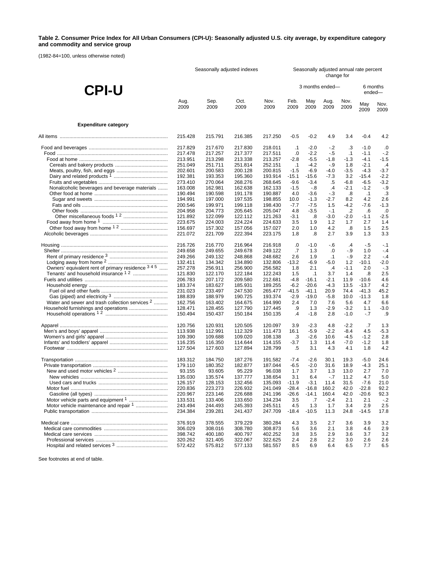#### **Table 2. Consumer Price Index for All Urban Consumers (CPI-U): Seasonally adjusted U.S. city average, by expenditure category and commodity and service group**

(1982-84=100, unless otherwise noted)

|                                                            | Seasonally adjusted indexes |                    |                    |                    |              | Seasonally adjusted annual rate percent<br>change for |               |                  |                    |              |  |
|------------------------------------------------------------|-----------------------------|--------------------|--------------------|--------------------|--------------|-------------------------------------------------------|---------------|------------------|--------------------|--------------|--|
| <b>CPI-U</b>                                               |                             |                    |                    |                    |              | 3 months ended-                                       |               |                  | 6 months<br>ended- |              |  |
|                                                            | Aug.<br>2009                | Sep.<br>2009       | Oct.<br>2009       | Nov.<br>2009       | Feb.<br>2009 | May<br>2009                                           | Aug.<br>2009  | Nov.<br>2009     | May<br>2009        | Nov.<br>2009 |  |
| <b>Expenditure category</b>                                |                             |                    |                    |                    |              |                                                       |               |                  |                    |              |  |
|                                                            | 215.428                     | 215.791            | 216.385            | 217.250            | $-0.5$       | $-0.2$                                                | 4.9           | 3.4              | $-0.4$             | 4.2          |  |
|                                                            | 217.829                     | 217.670            | 217.830            | 218.011            | $\cdot$ 1    | $-2.0$                                                | $-2$          | .3               | $-1.0$             | .0           |  |
|                                                            | 217.478                     | 217.257            | 217.377            | 217.511            | .0           | $-2.2$                                                | $-.5$         | $\cdot$ 1        | $-1.1$             | $-2$         |  |
|                                                            | 213.951                     | 213.298            | 213.338            | 213.257            | $-2.8$       | $-5.5$                                                | -1.8          | $-1.3$           | $-4.1$             | $-1.5$       |  |
|                                                            | 251.049                     | 251.711            | 251.814            | 252.151            | .1           | $-4.2$                                                | -.9           | 1.8              | $-2.1$             | $\cdot$      |  |
|                                                            | 202.601                     | 200.583            | 200.128            | 200.815            | $-1.5$       | $-6.9$                                                | -4.0          | $-3.5$           | $-4.3$             | $-3.7$       |  |
|                                                            | 192.381                     | 193.353            | 195.360            | 193.914            | $-15.1$      | $-15.6$                                               | -7.3          | 3.2              | $-15.4$            | $-2.2$       |  |
|                                                            | 273.410                     | 270.064            | 268.276            | 268.645            | $-9.6$       | $-3.4$                                                | .5            | $-6.8$           | $-6.5$             | $-3.2$       |  |
| Nonalcoholic beverages and beverage materials              | 163.008                     | 162.981            | 162.638            | 162.133            | $-1.5$       | - 8                                                   | $\cdot$       | $-2.1$           | $-1.2$             | $-9$         |  |
|                                                            | 190.494                     | 190.598            | 191.178            | 190.887            | 4.0          | $-3.6$                                                | $-3$          | .8               | $\cdot$ 1          | .3           |  |
|                                                            | 194.991                     | 197.000            | 197.535            | 198.855            | 10.0         | $-1.3$                                                | $-2.7$        | 8.2              | 4.2                | 2.6          |  |
|                                                            | 200.546                     | 199.971            | 199.118            | 198.430            | $-7.7$       | $-7.5$                                                | 1.5           | $-4.2$           | $-7.6$             | $-1.3$       |  |
|                                                            | 204.958                     | 204.773            | 205.645            | 205.047            | 4.8          | $-3.5$                                                | $-.1$         | $\cdot$          | .6                 | .0           |  |
|                                                            | 121.892                     | 122.099            | 122.112            | 121.263            | $-3.1$       | .8                                                    | -3.0          | $-2.0$           | $-1.1$             | $-2.5$       |  |
|                                                            | 223.675                     | 224.003            | 224.224            | 224.633            | 3.5          | 1.9                                                   | 1.2           | 1.7              | 2.7                | 1.4          |  |
|                                                            | 156.697                     | 157.302            | 157.056            | 157.027            | 2.0          | 1.0                                                   | 4.2           | .8               | 1.5                | 2.5          |  |
|                                                            | 221.072                     | 221.709            | 222.394            | 223.175            | 1.8          | .8                                                    | 2.7           | 3.9              | 1.3                | 3.3          |  |
|                                                            | 216.726                     | 216.770            | 216.964            | 216.918            | .0           | $-1.0$                                                | $-6$          | .4               | $-.5$              | $-.1$        |  |
|                                                            | 249.658                     | 249.655            | 249.678            | 249.122            | .7           | 1.3                                                   | $\cdot 0$     | - 9              | 1.0                | $-.4$        |  |
|                                                            | 249.266                     | 249.132            | 248.868            | 248.682            | 2.6          | 1.9                                                   | $\cdot$ 1     | $-9$             | 2.2                | $-4$         |  |
|                                                            | 132.411                     | 134.342            | 134.890            | 132.806            | $-13.2$      | $-6.9$                                                | $-5.0$        | 1.2              | $-10.1$            | $-2.0$       |  |
| Owners' equivalent rent of primary residence 345           | 257.278                     | 256.911            | 256.900            | 256.582            | 1.8          | 2.1                                                   | $\cdot$       | $-1.1$           | 2.0                | $-.3$        |  |
|                                                            | 121.830                     | 122.170            | 122.184            | 122.243            | 1.5          | $\cdot$ 1                                             | 3.7           | 1.4              | .8                 | 2.5          |  |
|                                                            | 206.783                     | 207.172            | 209.580            | 212.681            | $-4.8$       | $-16.1$                                               | $-2.1$        | 11.9             | $-10.6$            | 4.6          |  |
|                                                            | 183.374                     | 183.627            | 185.931            | 189.255            | $-6.2$       | $-20.6$                                               | $-4.3$        | 13.5             | $-13.7$            | 4.2          |  |
|                                                            | 231.023                     | 233.497            | 247.530            | 265.477            | -41.5        | $-41.1$                                               | 20.9          | 74.4             | $-41.3$            | 45.2         |  |
|                                                            | 188.839                     | 188.979            | 190.725            | 193.374            | $-2.9$       | $-19.0$                                               | $-5.8$        | 10.0             | $-11.3$            | 1.8          |  |
| Water and sewer and trash collection services <sup>2</sup> | 162.756                     | 163.402            | 164.675            | 164.990            | 2.4          | 7.0                                                   | 7.6           | 5.6              | 4.7                | 6.6          |  |
|                                                            | 128.471<br>150.494          | 128.455<br>150.437 | 127.790<br>150.184 | 127.445<br>150.135 | .9<br>.4     | 1.3<br>$-1.8$                                         | $-2.9$<br>2.8 | $-3.2$<br>$-1.0$ | 1.1<br>$-.7$       | $-3.0$<br>.9 |  |
|                                                            | 120.756                     | 120.931            | 120.505            | 120.097            | 3.9          | $-2.3$                                                | 4.8           | $-2.2$           | .7                 | 1.3          |  |
|                                                            | 113.938                     | 112.991            | 112.329            | 111.473            | 16.1         | $-5.9$                                                | $-2.2$        | $-8.4$           | 4.5                | $-5.3$       |  |
|                                                            | 109.390                     | 109.688            | 109.020            | 108.138            | .3           | $-2.6$                                                | 10.6          | $-4.5$           | $-1.2$             | 2.8          |  |
|                                                            | 116.235                     | 116.350            | 114.644            | 114.155            | -3.7         | 1.3                                                   | 11.4          | $-7.0$           | $-1.2$             | 1.8          |  |
|                                                            | 127.504                     | 127.603            | 127.894            | 128.799            | .5           | 3.1                                                   | 4.3           | 4.1              | 1.8                | 4.2          |  |
|                                                            | 183.312                     | 184.750            | 187.276            | 191.582            | $-7.4$       | $-2.6$                                                | 30.1          | 19.3             | $-5.0$             | 24.6         |  |
|                                                            | 179.110                     | 180.352            | 182.877            | 187.044            | $-6.5$       | $-2.0$                                                | 31.6          | 18.9             | $-4.3$             | 25.1         |  |
|                                                            | 93.155                      | 93.605             | 95.229             | 96.038             | 1.7          | 3.7                                                   | 1.3           | 13.0             | 2.7                | 7.0          |  |
|                                                            | 135.030                     | 135.574            | 137.777            | 138.654            | 3.1          | 6.4                                                   | $-.7$         | 11.2             | 4.7                | 5.0          |  |
|                                                            | 126.157                     | 128.153            | 132.456            | 135.093            | $-11.9$      | -3.1                                                  | 11.4          | 31.5             | $-7.6$             | 21.0         |  |
|                                                            | 220.836                     | 223.273            | 226.932            | 241.049            | $-28.4$      | $-16.8$                                               | 160.2         | 42.0             | $-22.8$            | 92.2         |  |
|                                                            | 220.967                     | 223.146            | 226.688            | 241.196            | $-26.6$      | $-14.1$                                               | 160.4         | 42.0             | $-20.6$            | 92.3         |  |
|                                                            | 133.531                     | 133.406            | 133.650            | 134.234            | 3.5          | .7                                                    | $-2.4$        | 2.1              | 2.1                | $-2$         |  |
| Motor vehicle maintenance and repair 1                     | 243.494                     | 244.493            | 245.393            | 245.511            | 4.5          | 1.3                                                   | 1.7           | 3.4              | 2.9                | 2.5          |  |
|                                                            | 234.384                     | 239.281            | 241.437            | 247.709            | $-18.4$      | $-10.5$                                               | 11.3          | 24.8             | $-14.5$            | 17.8         |  |
|                                                            | 376.919                     | 378.555            | 379.229            | 380.284            | 4.3          | 3.5                                                   | 2.7           | 3.6              | 3.9                | 3.2          |  |
|                                                            | 306.029                     | 308.016            | 308.780            | 308.873            | 5.6          | 3.6                                                   | 2.1           | 3.8              | 4.6                | 2.9          |  |
|                                                            | 398.742                     | 400.180            | 400.797            | 402.252            | 3.8          | 3.5                                                   | 2.9           | 3.6              | 3.7                | 3.2          |  |
|                                                            | 320.262                     | 321.405            | 322.067            | 322.625            | 2.4          | 2.8                                                   | 2.2           | 3.0              | 2.6                | 2.6          |  |
|                                                            | 572.422                     | 575.812            | 577.133            | 581.557            | 8.5          | 6.9                                                   | 6.4           | 6.5              | 7.7                | 6.5          |  |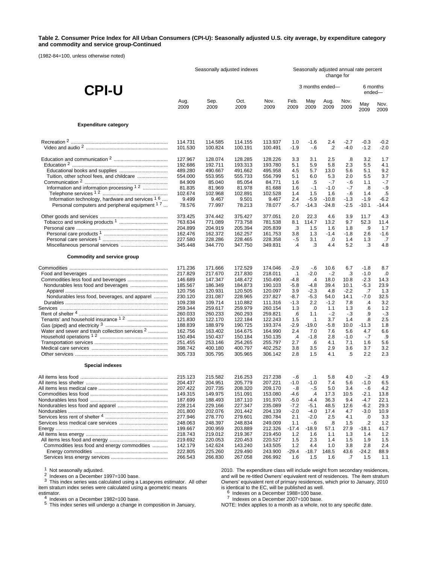#### **Table 2. Consumer Price Index for All Urban Consumers (CPI-U): Seasonally adjusted U.S. city average, by expenditure category and commodity and service group-Continued**

(1982-84=100, unless otherwise noted)

|                                                            | Seasonally adjusted indexes                                              |                                                                          |                                                                          |                                                                          | Seasonally adjusted annual rate percent<br>change for |                                                     |                                                     |                                                     |                                                   |                                                      |
|------------------------------------------------------------|--------------------------------------------------------------------------|--------------------------------------------------------------------------|--------------------------------------------------------------------------|--------------------------------------------------------------------------|-------------------------------------------------------|-----------------------------------------------------|-----------------------------------------------------|-----------------------------------------------------|---------------------------------------------------|------------------------------------------------------|
| <b>CPI-U</b>                                               |                                                                          |                                                                          |                                                                          |                                                                          |                                                       | 3 months ended-                                     |                                                     |                                                     | 6 months<br>ended-                                |                                                      |
|                                                            | Aug.                                                                     | Sep.                                                                     | Oct.                                                                     | Nov.                                                                     | Feb.                                                  | May                                                 | Aug.                                                | Nov.                                                | May                                               | Nov.                                                 |
|                                                            | 2009                                                                     | 2009                                                                     | 2009                                                                     | 2009                                                                     | 2009                                                  | 2009                                                | 2009                                                | 2009                                                | 2009                                              | 2009                                                 |
| <b>Expenditure category</b>                                |                                                                          |                                                                          |                                                                          |                                                                          |                                                       |                                                     |                                                     |                                                     |                                                   |                                                      |
|                                                            | 114.731                                                                  | 114.585                                                                  | 114.155                                                                  | 113.937                                                                  | 1.0                                                   | $-1.6$                                              | 2.4                                                 | $-2.7$                                              | $-0.3$                                            | $-0.2$                                               |
|                                                            | 101.530                                                                  | 100.824                                                                  | 100.191                                                                  | 100.491                                                                  | $-1.9$                                                | $-6$                                                | $\cdot$                                             | $-4.0$                                              | $-1.2$                                            | $-2.0$                                               |
|                                                            | 127.967                                                                  | 128.074                                                                  | 128.285                                                                  | 128.226                                                                  | 3.3                                                   | 3.1                                                 | 2.5                                                 | .8                                                  | 3.2                                               | 1.7                                                  |
|                                                            | 192.686                                                                  | 192.711                                                                  | 193.313                                                                  | 193.780                                                                  | 5.1                                                   | 5.9                                                 | 5.8                                                 | 2.3                                                 | 5.5                                               | 4.1                                                  |
|                                                            | 489.280                                                                  | 490.667                                                                  | 491.662                                                                  | 495.958                                                                  | 4.5                                                   | 5.7                                                 | 13.0                                                | 5.6                                                 | 5.1                                               | 9.2                                                  |
| Tuition, other school fees, and childcare                  | 554.000                                                                  | 553.955                                                                  | 555.733                                                                  | 556.799                                                                  | 5.1                                                   | 6.0                                                 | 5.3                                                 | 2.0                                                 | 5.5                                               | 3.7                                                  |
|                                                            | 84.909                                                                   | 85.040                                                                   | 85.054                                                                   | 84.771                                                                   | 1.6                                                   | .5                                                  | $-7$                                                | $-6$                                                | 1.1                                               | $-.7$                                                |
| Information and information processing 1.2                 | 81.835                                                                   | 81.969                                                                   | 81.978                                                                   | 81.688                                                                   | 1.6                                                   | $-1$                                                | $-1.0$                                              | $-7$                                                | .8                                                | $-9$                                                 |
|                                                            | 102.674                                                                  | 102.968                                                                  | 102.891                                                                  | 102.528                                                                  | 1.4                                                   | 1.5                                                 | 1.6                                                 | $-6$                                                | 1.4                                               | .5                                                   |
| Information technology, hardware and services 1 6          | 9.499                                                                    | 9.467                                                                    | 9.501                                                                    | 9.467                                                                    | 2.4                                                   | $-5.9$                                              | $-10.8$                                             | $-1.3$                                              | $-1.9$                                            | $-6.2$                                               |
| Personal computers and peripheral equipment <sup>17</sup>  | 78.576<br>373.425<br>763.634<br>204.899<br>162.476<br>227.580<br>345.448 | 77.997<br>374.442<br>771.089<br>204.919<br>162.372<br>228.286<br>344.770 | 78.213<br>375.427<br>773.758<br>205.394<br>162.257<br>228.465<br>347.750 | 78.077<br>377.051<br>781.538<br>205.839<br>161.753<br>228.358<br>349.831 | $-5.7$<br>2.0<br>8.1<br>.3<br>3.8<br>$-.5$<br>.4      | $-14.3$<br>22.3<br>114.7<br>1.5<br>1.3<br>3.1<br>.3 | $-24.8$<br>46<br>13.2<br>1.6<br>$-1.4$<br>.0<br>4.4 | $-2.5$<br>3.9<br>9.7<br>1.8<br>$-1.8$<br>1.4<br>5.2 | $-10.1$<br>11.7<br>52.3<br>.9<br>2.6<br>1.3<br>.3 | $-14.4$<br>4.3<br>11.4<br>1.7<br>$-1.6$<br>.7<br>4.8 |
| <b>Commodity and service group</b>                         |                                                                          |                                                                          |                                                                          |                                                                          |                                                       |                                                     |                                                     |                                                     |                                                   |                                                      |
|                                                            | 171.236                                                                  | 171.666                                                                  | 172.529                                                                  | 174.046                                                                  | $-2.9$                                                | - 6                                                 | 10.6                                                | 6.7                                                 | $-1.8$                                            | 8.7                                                  |
|                                                            | 217.829                                                                  | 217.670                                                                  | 217.830                                                                  | 218.011                                                                  | $\cdot$ 1                                             | $-2.0$                                              | $-2$                                                | .3                                                  | $-1.0$                                            | .0                                                   |
|                                                            | 146.689                                                                  | 147.347                                                                  | 148.472                                                                  | 150.490                                                                  | $-4.8$                                                | $\cdot$                                             | 18.0                                                | 10.8                                                | $-2.3$                                            | 14.3                                                 |
|                                                            | 185.567                                                                  | 186.349                                                                  | 184.873                                                                  | 190.103                                                                  | $-5.8$                                                | $-4.8$                                              | 39.4                                                | 10.1                                                | $-5.3$                                            | 23.9                                                 |
|                                                            | 120.756                                                                  | 120.931                                                                  | 120.505                                                                  | 120.097                                                                  | 3.9                                                   | $-2.3$                                              | 4.8                                                 | $-2.2$                                              | .7                                                | 1.3                                                  |
| Nondurables less food, beverages, and apparel              | 230.120                                                                  | 231.087                                                                  | 228.965                                                                  | 237.827                                                                  | -8.7                                                  | $-5.3$                                              | 54.0                                                | 14.1                                                | $-7.0$                                            | 32.5                                                 |
|                                                            | 109.238                                                                  | 109.714                                                                  | 110.882                                                                  | 111.316                                                                  | $-1.3$                                                | 2.2                                                 | $-1.2$                                              | 7.8                                                 | .4                                                | 3.2                                                  |
|                                                            | 259.344                                                                  | 259.617                                                                  | 259.979                                                                  | 260.154                                                                  | 1.3                                                   | .0                                                  | 1.1                                                 | 1.3                                                 | .6                                                | $1.2$                                                |
|                                                            | 260.033                                                                  | 260.233                                                                  | 260.293                                                                  | 259.821                                                                  | .6                                                    | 1.1                                                 | $-2$                                                | $-3$                                                | .9                                                | $-3$                                                 |
|                                                            | 121.830                                                                  | 122.170                                                                  | 122.184                                                                  | 122.243                                                                  | 1.5                                                   | $\cdot$ 1                                           | 3.7                                                 | 1.4                                                 | .8                                                | 2.5                                                  |
|                                                            | 188.839                                                                  | 188.979                                                                  | 190.725                                                                  | 193.374                                                                  | $-2.9$                                                | $-19.0$                                             | -5.8                                                | 10.0                                                | $-11.3$                                           | 1.8                                                  |
| Water and sewer and trash collection services <sup>2</sup> | 162.756                                                                  | 163.402                                                                  | 164.675                                                                  | 164.990                                                                  | 2.4                                                   | 7.0                                                 | 7.6                                                 | 5.6                                                 | 4.7                                               | 6.6                                                  |
|                                                            | 150.494                                                                  | 150.437                                                                  | 150.184                                                                  | 150.135                                                                  | .4                                                    | $-1.8$                                              | 2.8                                                 | $-1.0$                                              | $-7$                                              | .9                                                   |
|                                                            | 251.455                                                                  | 253.146                                                                  | 254.265                                                                  | 255.797                                                                  | 2.7                                                   | .6                                                  | 4.1                                                 | 7.1                                                 | 1.6                                               | 5.6                                                  |
|                                                            | 398.742                                                                  | 400.180                                                                  | 400.797                                                                  | 402.252                                                                  | 3.8                                                   | 3.5                                                 | 2.9                                                 | 3.6                                                 | 3.7                                               | 3.2                                                  |
| <b>Special indexes</b>                                     | 305.733                                                                  | 305.795                                                                  | 305.965                                                                  | 306.142                                                                  | 2.8                                                   | 1.5                                                 | 4.1                                                 | .5                                                  | 2.2                                               | 2.3                                                  |
|                                                            | 215.123                                                                  | 215.582                                                                  | 216.253                                                                  | 217.238                                                                  | -.6                                                   | $\cdot$ 1                                           | 5.8                                                 | 4.0                                                 | $-2$                                              | 4.9                                                  |
|                                                            | 204.437                                                                  | 204 951                                                                  | 205.779                                                                  | 207.221                                                                  | $-1.0$                                                | $-1.0$                                              | 7.4                                                 | 5.6                                                 | $-10$                                             | 6.5                                                  |
|                                                            | 207.422                                                                  | 207.735                                                                  | 208.320                                                                  | 209.170                                                                  | $-.8$                                                 | $-.5$                                               | 5.0                                                 | 3.4                                                 | $-6$                                              | 4.2                                                  |
|                                                            | 149.315                                                                  | 149.975                                                                  | 151.091                                                                  | 153.080                                                                  | -4.6                                                  | $\cdot$                                             | 17.3                                                | 10.5                                                | $-2.1$                                            | 13.8                                                 |
|                                                            | 187.699                                                                  | 188.493                                                                  | 187.110                                                                  | 191.970                                                                  | $-5.0$                                                | $-4.4$                                              | 36.3                                                | 9.4                                                 | $-4.7$                                            | 22.1                                                 |
|                                                            | 228.214                                                                  | 229.166                                                                  | 227.347                                                                  | 235.089                                                                  | $-7.2$                                                | $-5.1$                                              | 48.5                                                | 12.6                                                | $-6.2$                                            | 29.3                                                 |
|                                                            | 201.800                                                                  | 202.076                                                                  | 201.442                                                                  | 204.139                                                                  | $-2.0$                                                | $-4.0$                                              | 17.4                                                | 4.7                                                 | $-3.0$                                            | 10.9                                                 |
|                                                            | 277.946                                                                  | 278.770                                                                  | 279.601                                                                  | 280.784                                                                  | 2.1                                                   | $-2.0$                                              | 2.5                                                 | 4.1                                                 | .0                                                | 3.3                                                  |
|                                                            | 248.063                                                                  | 248.397                                                                  | 248.834                                                                  | 249.009                                                                  | 1.1                                                   | $-6$                                                | .8                                                  | 1.5                                                 | .2                                                | 1.2                                                  |
|                                                            | 199.667                                                                  | 200.959                                                                  | 203.889                                                                  | 212.326                                                                  | $-17.4$                                               | $-18.9$                                             | 57.1                                                | 27.9                                                | $-18.1$                                           | 41.7                                                 |
|                                                            | 218.743                                                                  | 219.012                                                                  | 219.367                                                                  | 219.450                                                                  | 1.2                                                   | 1.6                                                 | 1.1                                                 | 1.3                                                 | 1.4                                               | 1.2                                                  |
|                                                            | 219.692                                                                  | 220.053                                                                  | 220.453                                                                  | 220.527                                                                  | 1.5                                                   | 2.3                                                 | 1.4                                                 | 1.5                                                 | 1.9                                               | 1.5                                                  |
| Commodities less food and energy commodities               | 142.179                                                                  | 142.624                                                                  | 143.240                                                                  | 143.505                                                                  | 1.2                                                   | 4.4                                                 | 1.0                                                 | 3.8                                                 | 2.8                                               | 2.4                                                  |
|                                                            | 222.805                                                                  | 225.260                                                                  | 229.490                                                                  | 243.900                                                                  | $-29.4$                                               | $-18.7$                                             | 148.5                                               | 43.6                                                | $-24.2$                                           | 88.9                                                 |
|                                                            | 266.543                                                                  | 266.830                                                                  | 267.058                                                                  | 266.992                                                                  | 1.6                                                   | 1.5                                                 | 1.6                                                 | .7                                                  | 1.5                                               | 1.1                                                  |

<sup>1</sup> Not seasonally adjusted.<br><sup>2</sup> Indexes on a December 1997=100 base.<br><sup>3</sup> This index series was calculated using a Laspeyres estimator. All other item stratum index series were calculated using a geometric means

estimator.<br>
4 Indexes on a December 1982=100 base.<br>
5 This index series will undergo a change in composition in January,

2010. The expenditure class will include weight from secondary residences, and will be re-titled Owners' equivalent rent of residences. The item stratum Owners' equivalent rent of primary residences, which prior to January, 2010

is identical to the EC, will be published as well.<br><sup>6</sup> Indexes on a December 1988=100 base.<br><sup>7</sup> Indexes on a December 2007=100 base.

Indexes on a December 1000–100 base.<br>
NOTE: Index applies to a month as a whole, not to any specific date.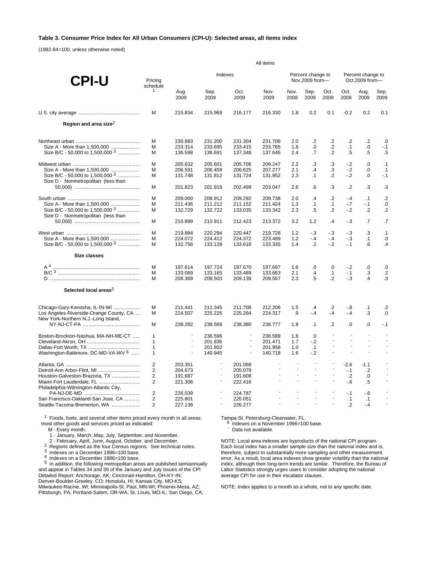### **Table 3. Consumer Price Index for All Urban Consumers (CPI-U): Selected areas, all items index**

(1982-84=100, unless otherwise noted)

|                                         | All items                        |                          |                          |                          |                          |                          |                                     |                          |                      |                                     |                 |  |
|-----------------------------------------|----------------------------------|--------------------------|--------------------------|--------------------------|--------------------------|--------------------------|-------------------------------------|--------------------------|----------------------|-------------------------------------|-----------------|--|
| <b>CPI-U</b>                            | Pricing<br>schedule              |                          | Indexes                  |                          |                          |                          | Percent change to<br>Nov.2009 from- |                          |                      | Percent change to<br>Oct.2009 from- |                 |  |
|                                         | 1                                | Aug.<br>2009             | Sep.<br>2009             | Oct.<br>2009             | Nov.<br>2009             | Nov.<br>2008             | Sep.<br>2009                        | Oct.<br>2009             | Oct.<br>2008         | Aug.<br>2009                        | Sep.<br>2009    |  |
|                                         | M                                | 215.834                  | 215.969                  | 216.177                  | 216.330                  | 1.8                      | 0.2                                 | 0.1                      | $-0.2$               | 0.2                                 | 0.1             |  |
| Region and area size <sup>2</sup>       |                                  |                          |                          |                          |                          |                          |                                     |                          |                      |                                     |                 |  |
|                                         | M                                | 230.883                  | 231.200                  | 231.304                  | 231.708                  | 2.0                      | $\cdot$                             | $\cdot$                  | $\cdot$              | $\cdot$                             | .0              |  |
| Size A - More than 1,500,000            | М                                | 233.314                  | 233.695                  | 233.415                  | 233.785                  | 1.8                      | 0.                                  | $\cdot$                  | $\cdot$ 1            | 0.                                  | $-.1$           |  |
| Size B/C - 50,000 to 1,500,000 $3$      | M                                | 136.598                  | 136.691                  | 137.348                  | 137.646                  | 2.4                      | .7                                  | $\overline{2}$           | $.5\,$               | .5                                  | .5              |  |
|                                         | M                                | 205.632                  | 205.601                  | 205.706                  | 206.247                  | 2.2                      | .3                                  | .3                       | $-2$                 | .0                                  | .1              |  |
| Size A - More than 1.500.000            | М                                | 206.591                  | 206.459                  | 206.625                  | 207.277                  | 2.1                      | .4                                  | .3                       | $-2$                 | 0.                                  | $\cdot$ 1       |  |
| Size B/C - 50,000 to 1,500,000 $3$      | м                                | 131.748                  | 131.812                  | 131.724                  | 131.952                  | 2.3                      | $\cdot$ 1                           | $\cdot$                  | $-2$                 | 0.                                  | $-.1$           |  |
| Size D - Nonmetropolitan (less than     |                                  |                          |                          |                          |                          |                          |                                     |                          |                      |                                     |                 |  |
|                                         | M                                | 201.823                  | 201.918                  | 202.499                  | 203.047                  | 2.6                      | .6                                  | .3                       | $\cdot$              | .3                                  | .3              |  |
|                                         | M                                | 209.000                  | 208.912                  | 209.292                  | 209.738                  | 2.0                      | .4                                  | $\cdot$ .2               | $-4$                 | $\cdot$ 1                           | $\cdot$         |  |
| Size A - More than 1.500.000            | М                                | 211.436                  | 211.212                  | 211.152                  | 211.424                  | 1.3                      | $\cdot$ 1                           | $\cdot$ 1                | $-7$                 | $-0.1$                              | .0              |  |
| Size B/C - 50,000 to 1,500,000 3        | м                                | 132.729                  | 132.722                  | 133.035                  | 133.342                  | 2.3                      | $.5\,$                              | $\overline{2}$           | $-.2$                | $\cdot$                             | $\cdot$ .2      |  |
| Size D - Nonmetropolitan (less than     |                                  |                          |                          |                          |                          |                          |                                     |                          |                      |                                     |                 |  |
|                                         | M                                | 210.899                  | 210.911                  | 212.423                  | 213.372                  | 3.2                      | 1.2                                 | $\mathcal{A}$            | $-3$                 | $\cdot$ 7                           | .7              |  |
|                                         | M                                | 219.884                  | 220.294                  | 220.447                  | 219.728                  | 1.2                      | $-3$                                | $-3$                     | $-3$                 | .3                                  | .1              |  |
| Size A - More than 1,500,000            | M                                | 224.072                  | 224.412                  | 224.372                  | 223.489                  | 1.2                      | $-4$                                | $-4$                     | $-3$                 | $\cdot$ 1                           | .0              |  |
| Size B/C - 50,000 to 1,500,000 $3$      | M                                | 132.756                  | 133.128                  | 133.618                  | 133.335                  | 1.4                      | $\cdot$ .2                          | $-2$                     | $-1$                 | .6                                  | .4              |  |
| Size classes                            |                                  |                          |                          |                          |                          |                          |                                     |                          |                      |                                     |                 |  |
|                                         | м                                | 197.614                  | 197.724                  | 197.670                  | 197.697                  | 1.6                      | .0                                  | 0.                       | $-.2$                | 0.                                  | .0              |  |
|                                         | M                                | 133.069                  | 133.165                  | 133.489                  | 133.663                  | 2.1                      | .4                                  | $\cdot$ 1                | $-.1$                | .3                                  | $.2\phantom{0}$ |  |
|                                         | М                                | 208.369                  | 208.503                  | 209.139                  | 209.567                  | 2.3                      | $\overline{5}$                      | $\overline{2}$           | $-3$                 | $\cdot$                             | .3              |  |
| Selected local areas <sup>5</sup>       |                                  |                          |                          |                          |                          |                          |                                     |                          |                      |                                     |                 |  |
| Chicago-Gary-Kenosha, IL-IN-WI          | М                                | 211.441                  | 211.345                  | 211.708                  | 212.206                  | 1.5                      | $\cdot$                             | $\cdot$                  | $-8$                 | $\cdot$ 1                           | $\cdot$         |  |
| Los Angeles-Riverside-Orange County, CA | М                                | 224.507                  | 225.226                  | 225.264                  | 224.317                  | .9                       | $-4$                                | $-4$                     | $-.4$                | .3                                  | .0              |  |
| New York-Northern N.J.-Long Island,     | м                                | 238.282                  | 238.568                  | 238.380                  | 238.777                  | 1.8                      | $\cdot$ 1                           | $\cdot$                  | 0.                   | 0.                                  | $-.1$           |  |
| Boston-Brockton-Nashua, MA-NH-ME-CT     | $\mathbf{1}$                     | $\overline{\phantom{a}}$ | 236.596                  | $\overline{\phantom{a}}$ | 236.589                  | 1.8                      | 0.                                  | ÷.                       | $\sim$               | $\sim$                              | $\sim$          |  |
|                                         | $\mathbf{1}$                     | $\sim$                   | 201.836                  | $\blacksquare$           | 201.471                  | 1.7                      | $-2$                                | ÷.                       | $\overline{a}$       | $\overline{a}$                      |                 |  |
|                                         | $\mathbf{1}$                     | $\overline{a}$           | 201.802                  | $\sim$                   | 201.958                  | 1.0                      | $\cdot$ 1                           | ÷.                       | $\overline{a}$       | $\overline{a}$                      |                 |  |
| Washington-Baltimore, DC-MD-VA-WV 6     | $\mathbf{1}$                     |                          | 140.945                  | $\overline{\phantom{a}}$ | 140.718                  | 1.6                      | $-2$                                | $\overline{\phantom{a}}$ | $\blacksquare$       | $\overline{a}$                      | $\blacksquare$  |  |
|                                         | $\overline{2}$                   | 203.351                  | $\overline{\phantom{a}}$ | 201.068                  | $\sim$                   |                          |                                     |                          | $-2.6$               | $-1.1$                              |                 |  |
|                                         | 2                                | 204.673                  | $\blacksquare$           | 205.079                  | $\overline{a}$           | $\overline{\phantom{a}}$ | $\overline{a}$                      |                          | $-.1$                | $\cdot$                             |                 |  |
| Houston-Galveston-Brazoria, TX          | 2                                | 191.687                  | $\overline{\phantom{a}}$ | 191.608                  |                          |                          | $\overline{\phantom{a}}$            |                          | $\cdot$              | 0.                                  |                 |  |
| Miami-Fort Lauderdale, FL               | $\overline{2}$                   | 221.306                  | ÷,                       | 222.416                  | $\overline{\phantom{a}}$ |                          | $\overline{\phantom{a}}$            | $\overline{\phantom{a}}$ | $-6$                 | .5                                  |                 |  |
| Philadelphia-Wilmington-Atlantic City,  |                                  |                          |                          |                          |                          |                          | ÷,                                  |                          |                      |                                     |                 |  |
|                                         | $\overline{2}$                   | 226.039                  | ÷,                       | 224.787                  |                          |                          | $\overline{\phantom{a}}$            | ÷,                       | $-1$                 | $-6$                                |                 |  |
| San Francisco-Oakland-San Jose, CA      | $\overline{2}$<br>$\overline{2}$ | 225.801                  | ÷,                       | 226.051                  |                          |                          | $\overline{a}$                      | ÷.                       | $\cdot$ 1<br>$\cdot$ | $\cdot$ 1                           |                 |  |
| Seattle-Tacoma-Bremerton, WA            |                                  | 227.138                  |                          | 226.277                  |                          |                          |                                     |                          |                      | $-4$                                |                 |  |

<sup>1</sup> Foods, fuels, and several other items priced every month in all areas; most other goods and services priced as indicated:

M - Every month.

1 - January, March, May, July, September, and November.

2<br>
Regions defined as the four Census regions. See technical notes.<br>
<sup>3</sup> Indexes on a December 1996=100 base.<br>
<sup>4</sup> Indexes on a December 1986=100 base.<br>
<sup>5</sup> In addition, the following metropolitan areas are published semia and appear in Tables 34 and 39 of the January and July issues of the CPI Detailed Report: Anchorage, AK; Cincinnati-Hamilton, OH-KY-IN; Denver-Boulder-Greeley, CO; Honolulu, HI; Kansas City, MO-KS; Milwaukee-Racine, WI; Minneapolis-St. Paul, MN-WI; Phoenix-Mesa, AZ; Pittsburgh, PA; Portland-Salem, OR-WA; St. Louis, MO-IL; San Diego, CA;

Tampa-St. Petersburg-Clearwater, FL.<br>6 Indexes on a November 1996=100 base.<br>- Data not available.

NOTE: Local area indexes are byproducts of the national CPI program. Each local index has a smaller sample size than the national index and is, therefore, subject to substantially more sampling and other measurement error. As a result, local area indexes show greater volatility than the national index, although their long-term trends are similar. Therefore, the Bureau of Labor Statistics strongly urges users to consider adopting the national average CPI for use in their escalator clauses.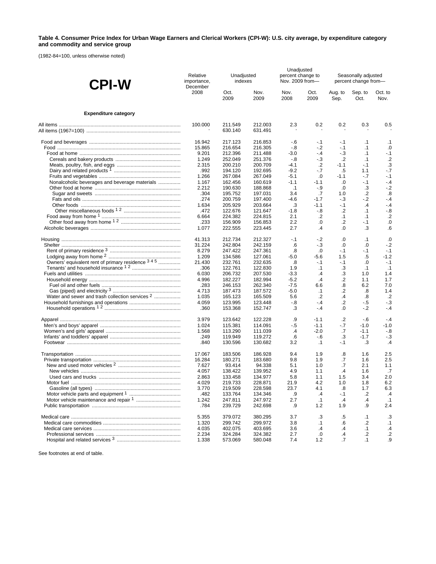#### **Table 4. Consumer Price Index for Urban Wage Earners and Clerical Workers (CPI-W): U.S. city average, by expenditure category and commodity and service group**

(1982-84=100, unless otherwise noted)

| <b>CPI-W</b>                                               | Relative<br>importance,<br>December | Unadjusted<br>indexes |                    |                | Unadjusted<br>percent change to<br>Nov. 2009 from- | Seasonally adjusted<br>percent change from- |                 |                   |  |
|------------------------------------------------------------|-------------------------------------|-----------------------|--------------------|----------------|----------------------------------------------------|---------------------------------------------|-----------------|-------------------|--|
|                                                            | 2008                                | Oct.<br>2009          | Nov.<br>2009       | Nov.<br>2008   | Oct.<br>2009                                       | Aug. to<br>Sep.                             | Sep. to<br>Oct. | Oct. to<br>Nov.   |  |
| <b>Expenditure category</b>                                |                                     |                       |                    |                |                                                    |                                             |                 |                   |  |
|                                                            | 100.000                             | 211.549<br>630.140    | 212.003<br>631.491 | 2.3            | 0.2                                                | 0.2                                         | 0.3             | 0.5               |  |
|                                                            | 16.942                              | 217.123               | 216.853            | -.6            | $-.1$                                              | -.1                                         | $\cdot$ 1       | $\cdot$ 1         |  |
|                                                            | 15.865                              | 216.654               | 216.305            | $-.8$          | $-.2$                                              | $-.1$                                       | $\cdot$ 1       | .0                |  |
|                                                            | 9.201                               | 212.396               | 211.488            | $-3.0$         | $-4$                                               | $-3$                                        | $\cdot$ 1       | $-.1$             |  |
|                                                            | 1.249                               | 252.049               | 251.376            | $-8$           | $-3$                                               | $\cdot$                                     | $\cdot$ 1       | $\cdot$           |  |
|                                                            | 2.315                               | 200.210               | 200.709            | -4.1           | .2                                                 | $-1.1$                                      | $-1$            | .3<br>$-7$        |  |
|                                                            | .992<br>1.266                       | 194.120<br>267.084    | 192.695<br>267.049 | $-9.2$<br>-5.1 | $-7$<br>.0                                         | .5<br>$-1.1$                                | 1.1<br>$-7$     | $-.1$             |  |
| Nonalcoholic beverages and beverage materials              | 1.167                               | 162.456               | 160.619            | $-1.1$         | $-1.1$                                             | .0                                          | $-1$            | $-4$              |  |
|                                                            | 2.212                               | 190.630               | 188.868            | $\cdot$ 1      | $-9$                                               | .0                                          | .3              | $-2$              |  |
|                                                            | .304                                | 195.752               | 197.031            | 3.4            | .7                                                 | 1.0                                         | $\cdot$         | $\boldsymbol{.8}$ |  |
|                                                            | .274                                | 200.759               | 197.400            | $-4.6$         | $-1.7$                                             | $-3$                                        | $-2$            | $-4$              |  |
|                                                            | 1.634                               | 205.929               | 203.664            | .3             | $-1.1$                                             | $-1$                                        | $\mathcal{A}$   | $-4$              |  |
|                                                            | .472                                | 122.676               | 121.647            | -1.8           | $-8$                                               | $\cdot$                                     | $\cdot$ 1       | $-0.8$            |  |
|                                                            | 6.664                               | 224.382               | 224.815            | 2.1            | $\cdot$                                            | $\cdot$ 1                                   | $\cdot$ 1       | $\cdot$           |  |
|                                                            | .233<br>1.077                       | 156.909<br>222.555    | 156.853<br>223.445 | 2.2<br>2.7     | 0.<br>.4                                           | $\cdot$ .2<br>.0                            | $-.1$<br>.3     | .0<br>.6          |  |
|                                                            |                                     |                       |                    |                |                                                    |                                             |                 |                   |  |
|                                                            | 41.313                              | 212.734               | 212.327            | $-.1$          | $-2$                                               | .0                                          | $\cdot$ 1       | .0                |  |
|                                                            | 31.224<br>8.279                     | 242.804<br>247.422    | 242.159<br>247.361 | .6<br>.8       | $-3$<br>.0                                         | .0<br>$-1$                                  | .0<br>$-1$      | $-2$<br>$-.1$     |  |
|                                                            | 1.209                               | 134.586               | 127.061            | $-5.0$         | -5.6                                               | 1.5                                         | $.5\,$          | $-1.2$            |  |
| Owners' equivalent rent of primary residence 3 4 5         | 21.430                              | 232.761               | 232.635            | .8             | $-1$                                               | $-1$                                        | $\cdot 0$       | $-.1$             |  |
|                                                            | .306                                | 122.761               | 122.830            | 1.9            | $\cdot$ 1                                          | .3                                          | $\cdot$ 1       | $\cdot$ 1         |  |
|                                                            | 6.030                               | 206.732               | 207.530            | $-3.3$         | $\cdot$ 4                                          | .3                                          | 1.0             | 1.4               |  |
|                                                            | 4.996                               | 182.227               | 182.994            | $-5.2$         | $\cdot$                                            | .2                                          | 1.1             | 1.7               |  |
|                                                            | .283                                | 246.153               | 262.340            | $-7.5$         | 6.6                                                | .8                                          | 6.2             | 7.0               |  |
|                                                            | 4.713                               | 187.473               | 187.572            | $-5.0$         | $\cdot$ 1                                          | .2                                          | .8              | 1.4               |  |
| Water and sewer and trash collection services <sup>2</sup> | 1.035                               | 165.123               | 165.509            | 5.6            | $\cdot$                                            | $\cdot$                                     | .8              | $\cdot$           |  |
|                                                            | 4.059<br>.360                       | 123.995<br>153.368    | 123.448<br>152.747 | -.8<br>.3      | - 4<br>$-4$                                        | $\cdot$<br>0.                               | $-5$<br>$-2$    | $-.3$<br>$-4$     |  |
|                                                            | 3.979                               |                       |                    |                | $-1.1$                                             |                                             |                 | $-4$              |  |
|                                                            | 1.024                               | 123.642<br>115.381    | 122.228<br>114.091 | .9<br>-.5      | $-1.1$                                             | .2<br>$-7$                                  | - 6<br>$-1.0$   | $-1.0$            |  |
|                                                            | 1.568                               | 113.290               | 111.039            | $\cdot$        | $-2.0$                                             | .7                                          | $-1.1$          | -.8               |  |
|                                                            | .249                                | 119.949               | 119.272            | .6             | -.6                                                | .3                                          | $-1.7$          | $-3$              |  |
|                                                            | .840                                | 130.596               | 130.682            | 3.2            | $\cdot$ 1                                          | -.1                                         | .3              | $\cdot$           |  |
|                                                            | 17.067                              | 183.506               | 186.928            | 9.4            | 1.9                                                | .8                                          | 1.6             | 2.5               |  |
|                                                            | 16.284                              | 180.271               | 183.680            | 9.8            | 1.9                                                | .7                                          | 1.6             | 2.5               |  |
|                                                            | 7.627                               | 93.414                | 94.338             | 5.1            | 1.0                                                | .7                                          | 2.1             | 1.1               |  |
|                                                            | 4.057                               | 138.422               | 139.952            | 4.9            | 1.1                                                | .4                                          | 1.6             | .7                |  |
|                                                            | 2.863                               | 133.458               | 134.977            | 5.8            | 1.1                                                | 1.5                                         | 3.4             | 2.0               |  |
|                                                            | 4.029                               | 219.733               | 228.871<br>228.598 | 21.9           | 4.2                                                | 1.0                                         | 1.8             | 6.2               |  |
|                                                            | 3.770<br>.482                       | 219.509<br>133.764    | 134.346            | 23.7<br>.9     | 4.1<br>$\cdot$                                     | .8<br>$-.1$                                 | 1.7<br>.2       | 6.3<br>$\cdot$    |  |
|                                                            | 1.242                               | 247.811               | 247.972            | 2.7            | .1                                                 | .4                                          | $\cdot$         | $\cdot$ 1         |  |
|                                                            | .784                                | 239.729               | 242.698            | .9             | 1.2                                                | 1.9                                         | .9              | 2.4               |  |
|                                                            | 5.355                               | 379.072               | 380.295            | 3.7            | .3                                                 | .5                                          | $\cdot$ 1       | .3                |  |
|                                                            | 1.320                               | 299.742               | 299.972            | 3.8            | $\cdot$ 1                                          | .6                                          | .2              | $\cdot$ 1         |  |
|                                                            | 4.035                               | 402.075               | 403.695            | 3.6            | .4                                                 | $\cdot$                                     | .1              | $\cdot$           |  |
|                                                            | 2.234                               | 324.284               | 324.382            | 2.7            | .0                                                 | $\cdot$                                     | .2              | $\cdot$           |  |
|                                                            | 1.338                               | 573.069               | 580.048            | 7.4            | 1.2                                                | .7                                          | .1              | .9                |  |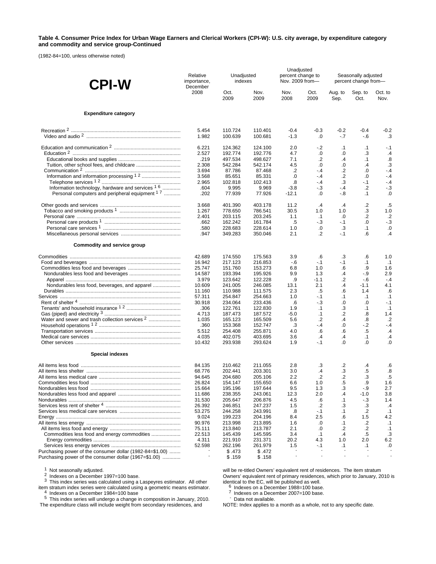#### **Table 4. Consumer Price Index for Urban Wage Earners and Clerical Workers (CPI-W): U.S. city average, by expenditure category and commodity and service group-Continued**

(1982-84=100, unless otherwise noted)

| <b>CPI-W</b>                                               | Relative<br>importance, | Unadjusted<br>indexes<br>December |                    | Unadjusted<br>percent change to<br>Nov. 2009 from- |                  | Seasonally adjusted<br>percent change from- |                 |                   |  |
|------------------------------------------------------------|-------------------------|-----------------------------------|--------------------|----------------------------------------------------|------------------|---------------------------------------------|-----------------|-------------------|--|
|                                                            | 2008                    | Oct.<br>2009                      | Nov.<br>2009       | Nov.<br>2008                                       | Oct.<br>2009     | Aug. to<br>Sep.                             | Sep. to<br>Oct. | Oct. to<br>Nov.   |  |
| <b>Expenditure category</b>                                |                         |                                   |                    |                                                    |                  |                                             |                 |                   |  |
|                                                            | 5.454                   | 110.724                           | 110.401            | $-0.4$                                             | $-0.3$           | $-0.2$                                      | $-0.4$          | $-0.2$            |  |
|                                                            | 1.982                   | 100.639                           | 100.681            | $-1.3$                                             | .0               | $-.7$                                       | $-6$            | .3                |  |
|                                                            | 6.221<br>2.527          | 124.362<br>192.774                | 124.100<br>192.776 | 2.0<br>4.7                                         | $-2$<br>$\cdot$  | .1<br>.0                                    | $\cdot$ 1<br>.3 | $-.1$<br>$\cdot$  |  |
|                                                            | .219                    | 497.534                           | 498.627            | 7.1                                                | $\cdot$          | $\cdot$                                     | $\cdot$ 1       | .8                |  |
|                                                            | 2.308                   | 542.284                           | 542.174            | 4.5                                                | .0               | .0                                          | $\overline{A}$  | .3                |  |
|                                                            | 3.694                   | 87.786                            | 87.468             | .2                                                 | - 4              | .2                                          | .0              | $-4$              |  |
|                                                            | 3.568<br>2.965          | 85.651<br>102.818                 | 85.331<br>102.413  | .0<br>.8                                           | $-4$<br>$-.4$    | $\cdot$<br>.3                               | .0<br>$-1$      | $-4$<br>$-4$      |  |
| Information technology, hardware and services 1 6          | .604                    | 9.995                             | 9.969              | $-3.8$                                             | - 3              | - 4                                         | .2              | $-.3$             |  |
| Personal computers and peripheral equipment <sup>17</sup>  | .202                    | 77.939                            | 77.926             | $-12.1$                                            | $\cdot$          | $-8$                                        | $\cdot$ 1       | .0                |  |
|                                                            | 3.668                   | 401.390                           | 403.178            | 11.2                                               | $\cdot$          | $\cdot$                                     | .2              | .5                |  |
|                                                            | 1.267                   | 778.650                           | 786.541            | 30.5                                               | 1.0              | 1.0                                         | .3              | 1.0               |  |
|                                                            | 2.401                   | 203.115                           | 203.245            | 1.1                                                | .1               | .0                                          | .2              | $\cdot$           |  |
|                                                            | .662<br>.580            | 162.242<br>228.683                | 161.784<br>228.614 | .5<br>1.0                                          | $-3$<br>.0       | $-1$<br>.3                                  | .0<br>$\cdot$ 1 | $-3$<br>$\cdot$   |  |
|                                                            | .947                    | 349.283                           | 350.046            | 2.1                                                | $\cdot$          | $-1$                                        | 6.              | $\cdot$           |  |
| Commodity and service group                                |                         |                                   |                    |                                                    |                  |                                             |                 |                   |  |
|                                                            | 42.689                  | 174.550                           | 175.563            | 3.9                                                | .6               | .3                                          | .6              | 1.0               |  |
|                                                            | 16.942                  | 217.123                           | 216.853            | -.6                                                | $-.1$            | -.1                                         | $\cdot$ 1       | $\cdot$ 1         |  |
|                                                            | 25.747                  | 151.760                           | 153.273            | 6.8                                                | 1.0              | .6                                          | .9              | 1.6               |  |
|                                                            | 14.587                  | 193.394                           | 195.926            | 9.9                                                | 1.3              | $\cdot$                                     | $-9$            | 2.9               |  |
|                                                            | 3.979                   | 123.642                           | 122.228            | .9                                                 | $-1.1$           | .2                                          | $-6$            | $-4$              |  |
|                                                            | 10.609<br>11.160        | 241.005<br>110.988                | 246.085<br>111.575 | 13.1<br>2.3                                        | 2.1<br>.5        | $\cdot$<br>.6                               | $-1.1$<br>1.4   | 4.1<br>.6         |  |
|                                                            | 57.311                  | 254.847                           | 254.663            | 1.0                                                | $-1$             | $\cdot$ 1                                   | $\cdot$ 1       | .1                |  |
|                                                            | 30.918                  | 234.064                           | 233.436            | .6                                                 | - 3              | .0                                          | .0              | $-.1$             |  |
|                                                            | .306                    | 122.761                           | 122.830            | 1.9                                                | $\cdot$ 1        | .3                                          | $\cdot$ 1       | $\cdot$ 1         |  |
|                                                            | 4.713                   | 187.473                           | 187.572            | $-5.0$                                             | .1               | .2                                          | .8              | 1.4               |  |
| Water and sewer and trash collection services <sup>2</sup> | 1.035                   | 165.123                           | 165.509            | 5.6                                                | $\cdot$          | $\cdot$                                     | .8              | $\cdot$           |  |
|                                                            | .360<br>5.512           | 153.368<br>254.408                | 152.747<br>255.871 | .3<br>4.0                                          | $-.4$<br>.6      | 0.<br>.6                                    | $-2$<br>$.5\,$  | $-4$<br>$\cdot$   |  |
|                                                            | 4.035                   | 402.075                           | 403.695            | 3.6                                                | $\cdot$          | $\cdot$                                     | $\cdot$ 1       | $\cdot$           |  |
|                                                            | 10.432                  | 293.938                           | 293.624            | 1.9                                                | $-1$             | 0.                                          | .0              | 0.                |  |
| <b>Special indexes</b>                                     |                         |                                   |                    |                                                    |                  |                                             |                 |                   |  |
|                                                            | 84.135                  | 210.462                           | 211.055            | 2.8                                                | .3               | .2                                          | $\cdot$         | .6                |  |
|                                                            | 68.776                  | 202.441                           | 203.301            | 3.0                                                | $\cdot$          | .3                                          | .5              | $\boldsymbol{.8}$ |  |
|                                                            | 94.645                  | 204.680                           | 205.106            | 2.2                                                | $\cdot$          | $\cdot$                                     | .3              | $.5\,$            |  |
|                                                            | 26.824                  | 154.147                           | 155.650            | 6.6                                                | 1.0              | .5                                          | .9              | 1.6               |  |
|                                                            | 15.664<br>11.686        | 195.196<br>238.355                | 197.644<br>243.061 | 9.5<br>12.3                                        | 1.3<br>2.0       | .3<br>.4                                    | -.9<br>$-1.0$   | 2.7<br>3.8        |  |
|                                                            | 31.530                  | 205.647                           | 206.876            | 4.5                                                | .6               | $\cdot$ 1                                   | $-3$            | 1.4               |  |
|                                                            | 26.392                  | 246.851                           | 247.237            | 1.5                                                | .2               | .3                                          | .3              | $\cdot$ 4         |  |
|                                                            | 53.275                  | 244.258                           | 243.991            | .8                                                 | $-.1$            | $\cdot$ 1                                   | .2              | $\cdot$ 1         |  |
|                                                            | 9.024                   | 199.223                           | 204.196            | 8.4                                                | 2.5              | .6                                          | 1.5             | 4.2               |  |
|                                                            | 90.976                  | 213.998                           | 213.895            | 1.6                                                | .0               | $\cdot$ 1                                   | .2              | $\cdot$ 1         |  |
|                                                            | 75.111                  | 213.840                           | 213.787            | 2.1                                                | .0               | .2                                          | .2              | $\cdot$ 1         |  |
| Commodities less food and energy commodities               | 22.513<br>4.311         | 145.439<br>221.910                | 145.595<br>231.371 | 3.4<br>20.2                                        | $\cdot$ 1<br>4.3 | $\cdot$<br>1.0                              | $.5\,$<br>2.0   | .3<br>6.2         |  |
|                                                            | 52.598                  | 262.196                           | 261.979            | 1.5                                                | $-.1$            | $\cdot$ 1                                   | $\cdot$ 1       | .0                |  |
| Purchasing power of the consumer dollar (1982-84=\$1.00)   |                         | \$.473                            | \$.472             |                                                    |                  |                                             |                 |                   |  |
| Purchasing power of the consumer dollar (1967=\$1.00)      |                         | \$.159                            | \$.158             |                                                    |                  |                                             |                 |                   |  |

1 Not seasonally adjusted.<br>
<sup>2</sup> Indexes on a December 1997=100 base.<br>
<sup>3</sup> This index series was calculated using a Laspeyres estimator. All other<br>
item stratum index series were calculated using a geometric means estimato item stratum index series were calculated using a geometric means estimator.<br><sup>4</sup> Indexes on a December 1984=100 base<br><sup>5</sup> This index series will undergo a change in composition in January, 2010.

The expenditure class will include weight from secondary residences, and

will be re-titled Owners' equivalent rent of residences. The item stratum Owners' equivalent rent of primary residences, which prior to January, 2010 is

identical to the EC, will be published as well.<br><sup>6</sup> Indexes on a December 1988=100 base.<br><sup>7</sup> Indexes on a December 2007=100 base.<br>- Data not available.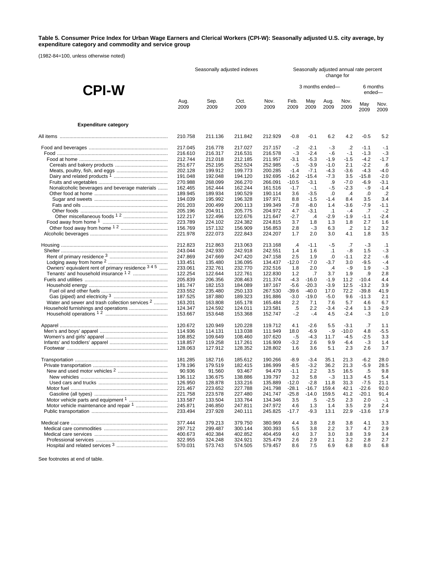#### **Table 5. Consumer Price Index for Urban Wage Earners and Clerical Workers (CPI-W): Seasonally adjusted U.S. city average, by expenditure category and commodity and service group**

(1982-84=100, unless otherwise noted)

|                                                            | Seasonally adjusted indexes |                    |                    |                    | Seasonally adjusted annual rate percent<br>change for |                |                 |                  |              |               |
|------------------------------------------------------------|-----------------------------|--------------------|--------------------|--------------------|-------------------------------------------------------|----------------|-----------------|------------------|--------------|---------------|
| <b>CPI-W</b>                                               |                             |                    |                    |                    |                                                       |                | 3 months ended- |                  | ended-       | 6 months      |
|                                                            | Aug.<br>2009                | Sep.<br>2009       | Oct.<br>2009       | Nov.<br>2009       | Feb.<br>2009                                          | May<br>2009    | Aug.<br>2009    | Nov.<br>2009     | May<br>2009  | Nov.<br>2009  |
| <b>Expenditure category</b>                                |                             |                    |                    |                    |                                                       |                |                 |                  |              |               |
|                                                            | 210.758                     | 211.136            | 211.842            | 212.929            | $-0.8$                                                | $-0.1$         | 6.2             | 4.2              | $-0.5$       | 5.2           |
|                                                            | 217.045                     | 216,778            | 217.027            | 217.157            | -.2                                                   | $-2.1$         | $-3$            | .2               | $-1.1$       | $-.1$         |
|                                                            | 216.610                     | 216.317            | 216.531            | 216.578            | $-3$                                                  | $-2.4$         | - 6             | $-1$             | $-1.3$       | $-3$          |
|                                                            | 212.744                     | 212.018            | 212.185            | 211.957            | $-3.1$                                                | $-5.3$         | $-1.9$          | $-1.5$           | $-4.2$       | $-1.7$        |
|                                                            | 251.677                     | 252.195            | 252.524            | 252.985            | - 5                                                   | $-3.9$         | $-1.0$          | 2.1              | $-2.2$       | .6            |
|                                                            | 202.128                     | 199.912            | 199.773            | 200.285            | $-1.4$                                                | $-7.1$         | $-4.3$          | $-3.6$           | -4.3         | $-4.0$        |
|                                                            | 191.048                     | 192.048            | 194.120            | 192.695            | $-16.2$                                               | $-15.4$        | -7.3            | 3.5              | $-15.8$      | $-2.0$        |
|                                                            | 270.988                     | 268.099            | 266.270            | 266.091            | $-10.5$                                               | $-3.1$         | .9              | $-7.0$           | $-6.9$       | $-3.1$        |
| Nonalcoholic beverages and beverage materials              | 162.465                     | 162.444            | 162.244            | 161.516            | $-1.7$                                                | $-.1$          | - 5             | $-2.3$           | -.9          | $-1.4$        |
|                                                            | 189.945                     | 189.934            | 190.529            | 190.114            | 3.6                                                   | $-3.5$         | .0              | $\cdot$ 4        | .0           | $\cdot$ .2    |
|                                                            | 194.039                     | 195.992            | 196.328            | 197.971            | 8.8                                                   | $-1.5$         | $-1.4$          | 8.4              | 3.5          | 3.4           |
|                                                            | 201.203                     | 200.499            | 200.113            | 199.349            | -7.8                                                  | $-8.0$         | 1.4             | -3.6             | $-7.9$       | $-1.1$        |
|                                                            | 205.196                     | 204.911            | 205.775            | 204.972            | 4.7                                                   | $-3.1$         | $\cdot$ 1       | $-.4$            | .7           | $-.2$         |
| Other miscellaneous foods 12                               | 122.217                     | 122.496            | 122.676            | 121.647            | $-2.7$                                                | $\overline{A}$ | -2.9            | $-1.9$           | $-1.1$       | $-2.4$        |
|                                                            | 223.789                     | 224.102            | 224.382            | 224.815            | 3.7                                                   | 1.8            | 1.3             | 1.8              | 2.7          | 1.6           |
|                                                            | 156.769                     | 157.132            | 156.909            | 156.853            | 2.8                                                   | $-.3$          | 6.3             | .2               | 1.2          | 3.2           |
|                                                            | 221.978                     | 222.073            | 222.843            | 224.207            | 1.7                                                   | 2.0            | 3.0             | 4.1              | 1.8          | 3.5           |
|                                                            | 212.823                     | 212.863            | 213.063            | 213.168            | $\cdot$                                               | $-1.1$         | -.5             | .7               | $-3$         | $\cdot$ 1     |
|                                                            | 243.044                     | 242.930            | 242.918            | 242.551            | 1.4                                                   | 1.6            | $\cdot$ 1       | - 8              | 1.5          | $-3$          |
|                                                            | 247.869                     | 247.669            | 247.420            | 247.158            | 2.5                                                   | 1.9            | $\cdot 0$       | $-1.1$           | 2.2          | $-6$          |
|                                                            | 133.451                     | 135.480            | 136.095            | 134.437            | $-12.0$                                               | $-7.0$         | -3.7            | 3.0              | $-9.5$       | $-.4$         |
| Owners' equivalent rent of primary residence 345           | 233.061                     | 232.761            | 232.770            | 232.516            | 1.8                                                   | 2.0            | $\cdot$         | - 9              | 1.9          | $-3$          |
|                                                            | 122.254                     | 122.644            | 122.761            | 122.830            | 1.2                                                   | .7             | 3.7             | 1.9              | .9           | 2.8           |
|                                                            | 205.839                     | 206.356            | 208.463            | 211.374            | $-4.3$                                                | $-16.0$        | $-1.9$          | 11.2             | $-10.4$      | 4.4           |
|                                                            | 181.747                     | 182.153            | 184.089            | 187.167            | $-5.6$                                                | $-20.3$        | $-3.9$          | 12.5             | $-13.2$      | 3.9           |
|                                                            | 233.552                     | 235.480            | 250.133            | 267.530            | $-39.6$                                               | $-40.0$        | 17.0            | 72.2             | $-39.8$      | 41.9          |
|                                                            | 187.525                     | 187.880            | 189.323            | 191.886            | $-3.0$                                                | $-19.0$        | $-5.0$          | 9.6              | $-11.3$      | 2.1           |
| Water and sewer and trash collection services <sup>2</sup> | 163.201                     | 163.808            | 165.178            | 165.484            | 2.2                                                   | 7.1            | 7.6             | 5.7              | 4.6          | 6.7           |
|                                                            | 124.347<br>153.667          | 124.592<br>153.648 | 124.011<br>153.368 | 123.581<br>152.747 | .5<br>$-2$                                            | 2.2<br>$-4$    | $-3.4$<br>4.5   | $-2.4$<br>$-2.4$ | 1.3<br>$-.3$ | $-2.9$<br>1.0 |
|                                                            | 120.672                     | 120.949            | 120.228            | 119.712            | 4.1                                                   | $-2.6$         | 5.5             | $-3.1$           | .7           | 1.1           |
|                                                            | 114.936                     | 114.131            | 113.038            | 111.949            | 18.0                                                  | $-6.9$         | $-.9$           | $-10.0$          | 4.8          | $-5.5$        |
|                                                            | 108.852                     | 109.649            | 108.460            | 107.620            | - 5                                                   | $-4.3$         | 11.7            | $-4.5$           | $-2.5$       | 3.3           |
|                                                            | 118.857                     | 119.258            | 117.261            | 116.909            | $-3.2$                                                | 2.6            | 9.9             | -6.4             | $-3$         | 1.4           |
|                                                            | 128.063                     | 127.912            | 128.352            | 128.802            | 1.6                                                   | 3.6            | 5.1             | 2.3              | 2.6          | 3.7           |
|                                                            | 181.285                     | 182.716            | 185.612            | 190.266            | $-8.9$                                                | $-3.4$         | 35.1            | 21.3             | $-6.2$       | 28.0          |
|                                                            | 178.196                     | 179.519            | 182.415            | 186.999            | $-8.5$                                                | $-3.2$         | 36.2            | 21.3             | $-5.9$       | 28.5          |
|                                                            | 90.936                      | 91.560             | 93.467             | 94.479             | $-1.1$                                                | 2.2            | 3.5             | 16.5             | .5           | 9.8           |
|                                                            | 136.112                     | 136.675            | 138.886            | 139.797            | 3.2                                                   | 5.8            | $-.3$           | 11.3             | 4.5          | 5.4           |
|                                                            | 126.950                     | 128.878            | 133.216            | 135.889            | $-12.0$                                               | $-2.8$         | 11.8            | 31.3             | $-7.5$       | 21.1          |
|                                                            | 221.467                     | 223.652            | 227.788            | 241.798            | $-28.1$                                               | $-16.7$        | 159.4           | 42.1             | $-22.6$      | 92.0          |
|                                                            | 221.758                     | 223.578            | 227.480            | 241.747            | $-25.8$                                               | $-14.0$        | 159.5           | 41.2             | $-20.1$      | 91.4          |
|                                                            | 133.587                     | 133.504            | 133.764            | 134.346            | 3.5                                                   | .5             | $-2.5$          | 2.3              | 2.0          | $-.1$         |
| Motor vehicle maintenance and repair 1                     | 245.871                     | 246.850            | 247.811            | 247.972            | 4.6                                                   | 1.3            | 1.4             | 3.5              | 2.9          | 2.4           |
|                                                            | 233.494                     | 237.928            | 240.111            | 245.825            | $-17.7$                                               | $-9.3$         | 13.1            | 22.9             | $-13.6$      | 17.9          |
|                                                            | 377.444                     | 379.213            | 379.750            | 380.969            | 4.4                                                   | 3.8            | 2.8             | 3.8              | 4.1          | 3.3           |
|                                                            | 297.712                     | 299.487            | 300.144            | 300.393            | 5.5                                                   | 3.8            | 2.2             | 3.7              | 4.7          | 2.9           |
|                                                            | 400.673                     | 402.384            | 402.852            | 404.459            | 4.0                                                   | 3.7            | 3.0             | 3.8              | 3.9          | 3.4           |
|                                                            | 322.955                     | 324.248            | 324.921            | 325.479            | 2.6                                                   | 2.9            | 2.1             | 3.2              | 2.8          | 2.7           |
|                                                            | 570.031                     | 573.743            | 574.505            | 579.457            | 8.6                                                   | 7.5            | 6.9             | 6.8              | 8.0          | 6.8           |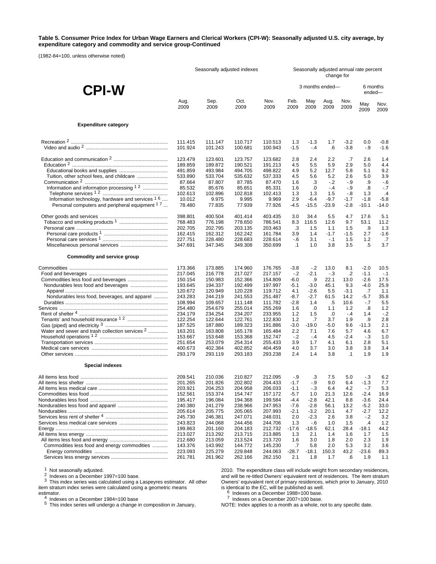#### **Table 5. Consumer Price Index for Urban Wage Earners and Clerical Workers (CPI-W): Seasonally adjusted U.S. city average, by expenditure category and commodity and service group-Continued**

(1982-84=100, unless otherwise noted)

|                                                           | Seasonally adjusted indexes |         |         |         | Seasonally adjusted annual rate percent<br>change for |                 |         |           |                    |                |
|-----------------------------------------------------------|-----------------------------|---------|---------|---------|-------------------------------------------------------|-----------------|---------|-----------|--------------------|----------------|
| <b>CPI-W</b>                                              |                             |         |         |         |                                                       | 3 months ended- |         |           | 6 months<br>ended- |                |
|                                                           | Aug.                        | Sep.    | Oct.    | Nov.    | Feb.                                                  | May             | Aug.    | Nov.      | May                | Nov.           |
|                                                           | 2009                        | 2009    | 2009    | 2009    | 2009                                                  | 2009            | 2009    | 2009      | 2009               | 2009           |
| <b>Expenditure category</b>                               |                             |         |         |         |                                                       |                 |         |           |                    |                |
|                                                           | 111.415                     | 111.147 | 110.717 | 110.513 | 1.3                                                   | $-1.3$          | 1.7     | $-3.2$    | 0.0                | $-0.8$         |
|                                                           | 101.924                     | 101.243 | 100.681 | 100.943 | $-1.5$                                                | $-4$            | .6      | $-3.8$    | $-9$               | $-1.6$         |
|                                                           | 123.479                     | 123.601 | 123.757 | 123.682 | 2.8                                                   | 2.4             | 2.2     | .7        | 2.6                | 1.4            |
|                                                           | 189.859                     | 189.872 | 190.521 | 191.213 | 4.5                                                   | 5.5             | 5.9     | 2.9       | 5.0                | 4.4            |
|                                                           | 491.859                     | 493.984 | 494.705 | 498.822 | 4.9                                                   | 5.2             | 12.7    | 5.8       | 5.1                | 9.2            |
| Tuition, other school fees, and childcare                 | 533.890                     | 533.704 | 535.632 | 537.333 | 4.5                                                   | 5.6             | 5.2     | 2.6       | 5.0                | 3.9            |
|                                                           | 87.664                      | 87.807  | 87.785  | 87.470  | 1.6                                                   | .3              | $-2$    | - 9       | .9                 | $-6$           |
| Information and information processing 1.2                | 85.532                      | 85.676  | 85.651  | 85.331  | 1.6                                                   | .0              | $-4$    | - 9       | .8                 | $-7$           |
|                                                           | 102.613                     | 102.896 | 102.818 | 102.413 | 1.3                                                   | 1.3             | 1.5     | $-8$      | 1.3                | $\overline{4}$ |
| Information technology, hardware and services $16$        | 10.012                      | 9.975   | 9.995   | 9.969   | 2.9                                                   | $-6.4$          | $-9.7$  | $-1.7$    | $-1.8$             | $-5.8$         |
| Personal computers and peripheral equipment <sup>17</sup> | 78.480                      | 77.835  | 77.939  | 77.926  | $-4.5$                                                | $-15.5$         | $-23.9$ | $-2.8$    | $-10.1$            | $-14.0$        |
|                                                           | 398.801                     | 400.504 | 401.414 | 403.435 | 3.0                                                   | 34.4            | 5.5     | 4.7       | 17.6               | 5.1            |
|                                                           | 768.483                     | 776.198 | 778.650 | 786.541 | 8.3                                                   | 116.5           | 12.6    | 9.7       | 53.1               | 11.2           |
|                                                           | 202.705                     | 202.795 | 203.135 | 203.463 | .3                                                    | 1.5             | 1.1     | 1.5       | .9                 | 1.3            |
|                                                           | 162.415                     | 162.312 | 162.242 | 161.784 | 3.9                                                   | 1.4             | $-1.7$  | $-1.5$    | 2.7                | $-1.6$         |
|                                                           | 227.751                     | 228.480 | 228.683 | 228.614 | $-6$                                                  | 3.1             | $-.1$   | 1.5       | 1.2                | .7             |
|                                                           | 347.691                     | 347.345 | 349.308 | 350.699 | $\cdot$ 1                                             | 1.0             | 3.8     | 3.5       | .5                 | 3.7            |
| Commodity and service group                               |                             |         |         |         |                                                       |                 |         |           |                    |                |
|                                                           | 173.366                     | 173.885 | 174.960 | 176.765 | $-3.8$                                                | $-2$            | 13.0    | 8.1       | $-2.0$             | 10.5           |
|                                                           | 217.045                     | 216.778 | 217.027 | 217.157 | $-2$                                                  | $-2.1$          | $-3$    | .2        | $-1.1$             | $-.1$          |
|                                                           | 150.154                     | 150.983 | 152.366 | 154.809 | -6.0                                                  | .9              | 22.1    | 13.0      | $-2.6$             | 17.5           |
|                                                           | 193.645                     | 194.337 | 192.499 | 197.997 | $-5.1$                                                | $-3.0$          | 45.1    | 9.3       | $-4.0$             | 25.9           |
|                                                           | 120.672                     | 120.949 | 120.228 | 119.712 | 4.1                                                   | $-2.6$          | 5.5     | $-3.1$    | .7                 | 1.1            |
| Nondurables less food, beverages, and apparel             | 243.283                     | 244.219 | 241.553 | 251.487 | $-8.7$                                                | $-2.7$          | 61.5    | 14.2      | $-5.7$             | 35.8           |
|                                                           | 108.994                     | 109.657 | 111.148 | 111.782 | $-2.8$                                                | 1.4             | .5      | 10.6      | $-.7$              | 5.5            |
|                                                           | 254.480                     | 254.679 | 255.014 | 255.269 | 1.6                                                   | .0              | 1.1     | 1.2       | .8                 | $1.2$          |
|                                                           | 234.179                     | 234.254 | 234.207 | 233.955 | 1.2                                                   | 1.5             | .0      | $-4$      | 1.4                | $-2$           |
|                                                           | 122.254                     | 122.644 | 122.761 | 122.830 | 1.2                                                   | .7              | 3.7     | 1.9       | .9                 | 2.8            |
|                                                           | 187.525                     | 187.880 | 189.323 | 191.886 | -3.0                                                  | $-19.0$         | -5.0    | 9.6       | $-11.3$            | 2.1            |
| Water and sewer and trash collection services 2           | 163.201                     | 163.808 | 165.178 | 165.484 | 2.2                                                   | 7.1             | 7.6     | 5.7       | 4.6                | 6.7            |
|                                                           | 153.667                     | 153.648 | 153.368 | 152.747 | $-2$                                                  | $-4$            | 4.5     | $-2.4$    | $-3$               | 1.0            |
|                                                           | 251.654                     | 253.079 | 254.314 | 255.433 | 3.9                                                   | 1.7             | 4.1     | 6.1       | 2.8                | 5.1            |
|                                                           | 400.673                     | 402.384 | 402.852 | 404.459 | 4.0                                                   | 3.7             | 3.0     | 3.8       | 3.9                | 3.4            |
|                                                           | 293.179                     | 293.119 | 293.183 | 293.238 | 2.4                                                   | 1.4             | 3.8     | $\cdot$ 1 | 1.9                | 1.9            |
| <b>Special indexes</b>                                    |                             |         |         |         |                                                       |                 |         |           |                    |                |
|                                                           | 209.541                     | 210.036 | 210.827 | 212.095 | $-9$                                                  | .3              | 7.5     | 5.0       | $-3$               | 6.2            |
|                                                           | 201.265                     | 201.826 | 202.802 | 204.433 | $-1.7$                                                | $-9$            | 9.0     | 6.4       | -1.3               | 7.7            |
|                                                           | 203.921                     | 204.253 | 204.958 | 206.033 | $-1.1$                                                | $-3$            | 6.4     | 4.2       | $-7$               | 5.3            |
|                                                           | 152.561                     | 153.374 | 154.747 | 157.172 | $-5.7$                                                | 1.0             | 21.3    | 12.6      | $-2.4$             | 16.9           |
|                                                           | 195.417                     | 196.084 | 194.368 | 199.584 | $-4.4$                                                | $-2.8$          | 42.1    | 8.8       | $-3.6$             | 24.4           |
|                                                           | 240.380                     | 241.279 | 238.966 | 247.953 | $-7.6$                                                | $-2.8$          | 56.1    | 13.2      | $-5.2$             | 33.0           |
|                                                           | 205.614                     | 205.775 | 205.065 | 207.993 | $-2.1$                                                | $-3.2$          | 20.1    | 4.7       | $-2.7$             | 12.2           |
|                                                           | 245.730                     | 246.381 | 247.071 | 248.031 | 2.0                                                   | $-2.3$          | 2.6     | 3.8       | $-.2$              | 3.2            |
|                                                           | 243.823                     | 244.068 | 244.456 | 244.706 | 1.3                                                   | - 6             | 1.0     | 1.5       | $\cdot$            | 1.2            |
|                                                           | 199.863                     | 201.160 | 204.183 | 212.732 | $-17.6$                                               | $-18.5$         | 62.1    | 28.4      | $-18.1$            | 44.2           |
|                                                           | 213.027                     | 213.292 | 213.715 | 213.885 | 1.3                                                   | 2.1             | 1.4     | 1.6       | 1.7                | 1.5            |
|                                                           | 212.680                     | 213.059 | 213.524 | 213.720 | 1.6                                                   | 3.0             | 1.8     | 2.0       | 2.3                | 1.9            |
| Commodities less food and energy commodities              | 143.376                     | 143.992 | 144.772 | 145.230 | .7                                                    | 5.8             | 2.0     | 5.3       | 3.2                | 3.6            |
|                                                           | 223.093                     | 225.279 | 229.848 | 244.063 | $-28.7$                                               | -18.1           | 150.3   | 43.2      | $-23.6$            | 89.3           |
|                                                           | 261.781                     | 261.962 | 262.166 | 262.150 | 2.1                                                   | 1.8             | 1.7     | .6        | 1.9                | 1.1            |

<sup>1</sup> Not seasonally adjusted.<br><sup>2</sup> Indexes on a December 1997=100 base.<br><sup>3</sup> This index series was calculated using a Laspeyres estimator. All other item stratum index series were calculated using a geometric means

estimator.<br>
<sup>4</sup> Indexes on a December 1984=100 base<br>
<sup>5</sup> This index series will undergo a change in composition in January,

2010. The expenditure class will include weight from secondary residences, and will be re-titled Owners' equivalent rent of residences. The item stratum Owners' equivalent rent of primary residences, which prior to January, 2010 is identical to the EC, will be published as well.<br><sup>6</sup> Indexes on a December 1988=100 base.<br><sup>7</sup> Indexes on a December 2007=100 base.

Indexes on a December 1000–100 base.<br>
NOTE: Index applies to a month as a whole, not to any specific date.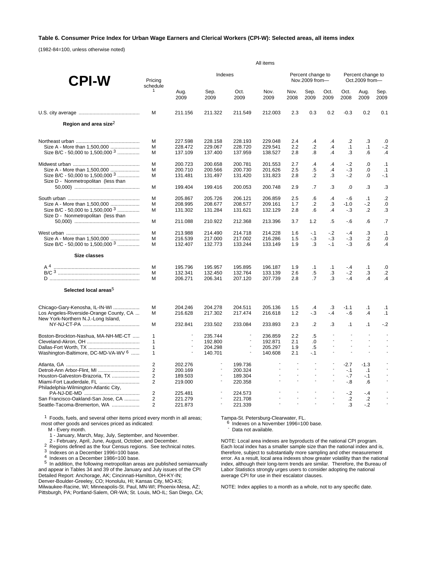### **Table 6. Consumer Price Index for Urban Wage Earners and Clerical Workers (CPI-W): Selected areas, all items index**

(1982-84=100, unless otherwise noted)

|                                                                                | All items           |              |                                                      |                          |                |                                  |                                                      |                                                      |                                     |                          |               |  |
|--------------------------------------------------------------------------------|---------------------|--------------|------------------------------------------------------|--------------------------|----------------|----------------------------------|------------------------------------------------------|------------------------------------------------------|-------------------------------------|--------------------------|---------------|--|
| <b>CPI-W</b>                                                                   | Pricina<br>schedule |              | Indexes                                              |                          |                |                                  | Percent change to<br>Nov.2009 from-                  |                                                      | Percent change to<br>Oct.2009 from- |                          |               |  |
|                                                                                | $\mathbf{1}$        | Aug.<br>2009 | Sep.<br>2009                                         | Oct.<br>2009             | Nov.<br>2009   | Nov.<br>2008                     | Sep.<br>2009                                         | Oct.<br>2009                                         | Oct.<br>2008                        | Aug.<br>2009             | Sep.<br>2009  |  |
|                                                                                | M                   | 211.156      | 211.322                                              | 211.549                  | 212.003        | 2.3                              | 0.3                                                  | 0.2                                                  | $-0.3$                              | 0.2                      | 0.1           |  |
| Region and area size <sup>2</sup>                                              |                     |              |                                                      |                          |                |                                  |                                                      |                                                      |                                     |                          |               |  |
|                                                                                | м                   | 227.598      | 228.158                                              | 228.193                  | 229.048        | 2.4                              | .4                                                   | .4                                                   | $\cdot$                             | $\cdot$ 3                | .0            |  |
| Size A - More than 1,500,000                                                   | M                   | 228.472      | 229.067                                              | 228.720                  | 229.541        | 2.2                              | $\cdot$ .2                                           | $\overline{A}$                                       | $\cdot$ 1                           | $\cdot$ 1                | $-2$          |  |
| Size B/C - 50,000 to 1,500,000 3                                               | M                   | 137.109      | 137.400                                              | 137.959                  | 138.527        | 2.8                              | .8                                                   | $\mathcal{A}$                                        | .3                                  | .6                       | .4            |  |
|                                                                                | M                   | 200.723      | 200.658                                              | 200.781                  | 201.553        | 2.7                              | $\cdot$                                              | $\mathcal{A}$                                        | $-2$                                | .0                       | $\cdot$ 1     |  |
| Size A - More than 1,500,000                                                   | M                   | 200.710      | 200.566                                              | 200.730                  | 201.626        | 2.5                              | $.5\,$                                               | $\mathcal{A}$                                        | - 3                                 | 0.                       | .1            |  |
| Size B/C - 50,000 to 1,500,000 3<br>Size D - Nonmetropolitan (less than        | M                   | 131.481      | 131.497                                              | 131.420                  | 131.823        | 2.8                              | $\cdot$ .2                                           | .3                                                   | $-2$                                | .0                       | $-1$          |  |
|                                                                                | M                   | 199.404      | 199.416                                              | 200.053                  | 200.748        | 2.9                              | .7                                                   | .3                                                   | 0.                                  | .3                       | .3            |  |
|                                                                                | M                   | 205.867      | 205.726                                              | 206.121                  | 206.859        | 2.5                              | $6 \,$                                               | $\cdot$                                              | $-6$                                | $\cdot$ 1                | .2            |  |
| Size A - More than 1,500,000                                                   | М                   | 208.995      | 208.677                                              | 208.577                  | 209.161        | 1.7                              | $\cdot$ .2                                           | .3                                                   | $-1.0$                              | $-2$                     | .0            |  |
| Size B/C - 50,000 to 1,500,000 3                                               | M                   | 131.302      | 131.284                                              | 131.621                  | 132.129        | 2.8                              | $6 \cdot$                                            | $\cdot$                                              | $-3$                                | $\cdot$                  | .3            |  |
| Size D - Nonmetropolitan (less than                                            | M                   | 211.088      | 210.922                                              | 212.368                  | 213.396        | 3.7                              | 1.2                                                  | .5                                                   | $-6$                                | .6                       | .7            |  |
|                                                                                | M                   | 213.988      | 214.490                                              | 214.718                  | 214.228        | 1.6                              | $-1$                                                 | $-2$                                                 | $-.4$                               | .3                       | .1            |  |
| Size A - More than 1,500,000                                                   | M                   | 216.539      | 217.000                                              | 217.002                  | 216.286        | 1.5                              | $-3$                                                 | $-3$                                                 | $-3$                                | $\cdot$                  | .0            |  |
| Size B/C - 50,000 to 1,500,000 $3$                                             | M                   | 132.407      | 132.773                                              | 133.244                  | 133.149        | 1.9                              | .3                                                   | $-1$                                                 | $-3$                                | .6                       | $\cdot$       |  |
| Size classes                                                                   |                     |              |                                                      |                          |                |                                  |                                                      |                                                      |                                     |                          |               |  |
| A <sup>4</sup>                                                                 | M                   | 195.796      | 195.957                                              | 195.895                  | 196.187        | 1.9                              | $\cdot$ 1                                            | $\cdot$ 1                                            | $-4$                                | $\cdot$ 1                | .0            |  |
|                                                                                | M                   | 132.341      | 132.450                                              | 132.764                  | 133.139        | 2.6                              | $.5\,$                                               | .3                                                   | $-2$                                | .3                       | $\cdot$ .2    |  |
|                                                                                | м                   | 206.271      | 206.341                                              | 207.120                  | 207.739        | 2.8                              | $\overline{.7}$                                      | .3                                                   | $-4$                                | $\overline{A}$           | $\mathcal{A}$ |  |
| Selected local areas <sup>5</sup>                                              |                     |              |                                                      |                          |                |                                  |                                                      |                                                      |                                     |                          |               |  |
| Chicago-Gary-Kenosha, IL-IN-WI                                                 | M                   | 204.246      | 204.278                                              | 204.511                  | 205.136        | 1.5                              | .4                                                   | $\cdot$ 3                                            | $-1.1$                              | $\cdot$ 1                | $\cdot$ 1     |  |
| Los Angeles-Riverside-Orange County, CA<br>New York-Northern N.J.-Long Island, | M                   | 216.628      | 217.302                                              | 217.474                  | 216.618        | 1.2                              | $-3$                                                 | $-4$                                                 | $-6$                                | .4                       | $\cdot$ 1     |  |
|                                                                                | M                   | 232.841      | 233.502                                              | 233.084                  | 233.893        | 2.3                              | $\cdot$                                              | .3                                                   | $\cdot$ 1                           | $\cdot$ 1                | $-2$          |  |
| Boston-Brockton-Nashua, MA-NH-ME-CT                                            | $\mathbf{1}$        |              | 235.744                                              | $\overline{\phantom{a}}$ | 236.859        | 2.2                              | $.5\,$                                               |                                                      | $\sim$                              | $\overline{\phantom{a}}$ |               |  |
|                                                                                | $\mathbf{1}$        |              | 192.800                                              | $\overline{\phantom{a}}$ | 192.871        | 2.1                              | 0.                                                   |                                                      | $\blacksquare$                      |                          |               |  |
|                                                                                | $\mathbf{1}$        |              | 204.298                                              |                          | 205.297        | 1.9                              | $.5\,$                                               |                                                      | $\overline{\phantom{a}}$            | $\overline{\phantom{a}}$ |               |  |
| Washington-Baltimore, DC-MD-VA-WV <sup>6</sup>                                 | 1                   |              | 140.701                                              |                          | 140.608        | 2.1                              | $-1$                                                 | $\overline{\phantom{a}}$                             | $\overline{\phantom{a}}$            | $\overline{a}$           |               |  |
|                                                                                | $\overline{2}$      | 202.276      | $\overline{\phantom{a}}$                             | 199.736                  | $\mathbf{r}$   |                                  |                                                      |                                                      | $-2.7$                              | $-1.3$                   |               |  |
|                                                                                | $\overline{2}$      | 200.169      | $\overline{\phantom{a}}$                             | 200.324                  | $\blacksquare$ | $\blacksquare$<br>$\blacksquare$ | $\overline{\phantom{a}}$<br>$\overline{\phantom{a}}$ | $\overline{\phantom{a}}$<br>$\overline{\phantom{a}}$ | $-1$                                | $\cdot$ 1                |               |  |
| Houston-Galveston-Brazoria, TX                                                 | $\overline{2}$      | 189.503      | $\overline{\phantom{a}}$<br>$\overline{\phantom{a}}$ | 189.304                  |                | ÷                                | $\overline{a}$                                       | $\overline{\phantom{a}}$                             | $-7$                                | $-.1$                    |               |  |
| Miami-Fort Lauderdale, FL<br>Philadelphia-Wilmington-Atlantic City,            | $\overline{2}$      | 219.000      |                                                      | 220.358                  |                |                                  |                                                      |                                                      | $-8$                                | .6                       |               |  |
|                                                                                | $\overline{2}$      | 225.481      |                                                      | 224.573                  |                |                                  |                                                      |                                                      | $-2$                                | $-4$                     |               |  |
| San Francisco-Oakland-San Jose, CA                                             | $\overline{2}$      | 221.279      | $\overline{\phantom{a}}$                             | 221.708                  |                |                                  | $\overline{\phantom{a}}$                             |                                                      | $\cdot$                             | $\cdot$                  |               |  |
| Seattle-Tacoma-Bremerton, WA                                                   | 2                   | 221.873      | $\overline{\phantom{a}}$                             | 221.339                  |                |                                  |                                                      |                                                      | $\cdot$ 3                           | $-2$                     |               |  |

<sup>1</sup> Foods, fuels, and several other items priced every month in all areas; most other goods and services priced as indicated:

M - Every month.

1 - January, March, May, July, September, and November.

2<br>
Regions defined as the four Census regions. See technical notes.<br>
<sup>3</sup> Indexes on a December 1996=100 base.<br>
<sup>4</sup> Indexes on a December 1986=100 base.<br>
<sup>5</sup> In addition, the following metropolitan areas are published semia and appear in Tables 34 and 39 of the January and July issues of the CPI Detailed Report: Anchorage, AK; Cincinnati-Hamilton, OH-KY-IN; Denver-Boulder-Greeley, CO; Honolulu, HI; Kansas City, MO-KS; Milwaukee-Racine, WI; Minneapolis-St. Paul, MN-WI; Phoenix-Mesa, AZ; Pittsburgh, PA; Portland-Salem, OR-WA; St. Louis, MO-IL; San Diego, CA;

Tampa-St. Petersburg-Clearwater, FL.<br><sup>6</sup> Indexes on a November 1996=100 base.<br>- Data not available.

NOTE: Local area indexes are byproducts of the national CPI program. Each local index has a smaller sample size than the national index and is, therefore, subject to substantially more sampling and other measurement error. As a result, local area indexes show greater volatility than the national index, although their long-term trends are similar. Therefore, the Bureau of Labor Statistics strongly urges users to consider adopting the national average CPI for use in their escalator clauses.